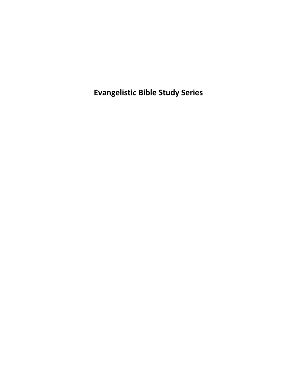**Evangelistic Bible Study Series**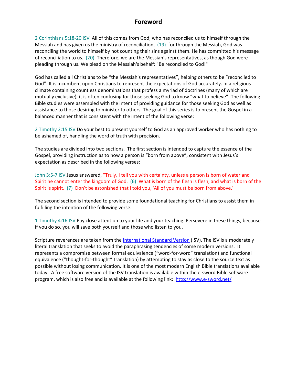#### **Foreword**

2 Corinthians 5:18-20 ISV All of this comes from God, who has reconciled us to himself through the Messiah and has given us the ministry of reconciliation, (19) for through the Messiah, God was reconciling the world to himself by not counting their sins against them. He has committed his message of reconciliation to us. (20) Therefore, we are the Messiah's representatives, as though God were pleading through us. We plead on the Messiah's behalf: "Be reconciled to God!"

God has called all Christians to be "the Messiah's representatives", helping others to be "reconciled to God". It is incumbent upon Christians to represent the expectations of God accurately. In a religious climate containing countless denominations that profess a myriad of doctrines (many of which are mutually exclusive), it is often confusing for those seeking God to know "what to believe". The following Bible studies were assembled with the intent of providing guidance for those seeking God as well as assistance to those desiring to minister to others. The goal of this series is to present the Gospel in a balanced manner that is consistent with the intent of the following verse:

2 Timothy 2:15 ISV Do your best to present yourself to God as an approved worker who has nothing to be ashamed of, handling the word of truth with precision.

The studies are divided into two sections. The first section is intended to capture the essence of the Gospel, providing instruction as to how a person is "born from above", consistent with Jesus's expectation as described in the following verses:

John 3:5-7 ISV Jesus answered, "Truly, I tell you with certainty, unless a person is born of water and Spirit he cannot enter the kingdom of God. (6) What is born of the flesh is flesh, and what is born of the Spirit is spirit. (7) Don't be astonished that I told you, 'All of you must be born from above.'

The second section is intended to provide some foundational teaching for Christians to assist them in fulfilling the intention of the following verse:

1 Timothy 4:16 ISV Pay close attention to your life and your teaching. Persevere in these things, because if you do so, you will save both yourself and those who listen to you.

Scripture reverences are taken from the [International Standard Version](http://isv.org/index.htm) (ISV). The ISV is a moderately literal translation that seeks to avoid the paraphrasing tendencies of some modern versions. It represents a compromise between formal equivalence ("word-for-word" translation) and functional equivalence ("thought-for-thought" translation) by attempting to stay as close to the source text as possible without losing communication. It is one of the most modern English Bible translations available today. A free software version of the ISV translation is available within the e-sword Bible software program, which is also free and is available at the following link: <http://www.e-sword.net/>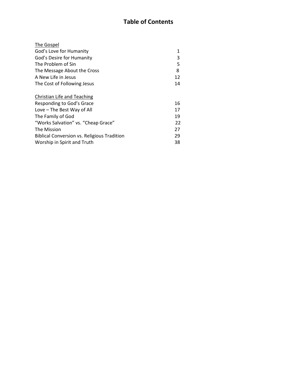# **Table of Contents**

| 1  |
|----|
| 3  |
| 5  |
| 8  |
| 12 |
| 14 |
|    |
| 16 |
| 17 |
| 19 |
| 22 |
| 27 |
| 29 |
| 38 |
|    |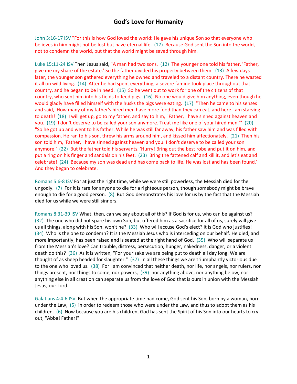#### **God's Love for Humanity**

John 3:16-17 ISV "For this is how God loved the world: He gave his unique Son so that everyone who believes in him might not be lost but have eternal life. (17) Because God sent the Son into the world, not to condemn the world, but that the world might be saved through him.

Luke 15:11-24 ISV Then Jesus said, "A man had two sons. (12) The younger one told his father, 'Father, give me my share of the estate.' So the father divided his property between them. (13) A few days later, the younger son gathered everything he owned and traveled to a distant country. There he wasted it all on wild living. (14) After he had spent everything, a severe famine took place throughout that country, and he began to be in need. (15) So he went out to work for one of the citizens of that country, who sent him into his fields to feed pigs. (16) No one would give him anything, even though he would gladly have filled himself with the husks the pigs were eating. (17) "Then he came to his senses and said, 'How many of my father's hired men have more food than they can eat, and here I am starving to death! (18) I will get up, go to my father, and say to him, "Father, I have sinned against heaven and you. (19) I don't deserve to be called your son anymore. Treat me like one of your hired men."' (20) "So he got up and went to his father. While he was still far away, his father saw him and was filled with compassion. He ran to his son, threw his arms around him, and kissed him affectionately. (21) Then his son told him, 'Father, I have sinned against heaven and you. I don't deserve to be called your son anymore.' (22) But the father told his servants, 'Hurry! Bring out the best robe and put it on him, and put a ring on his finger and sandals on his feet. (23) Bring the fattened calf and kill it, and let's eat and celebrate! (24) Because my son was dead and has come back to life. He was lost and has been found.' And they began to celebrate.

Romans 5:6-8 ISV For at just the right time, while we were still powerless, the Messiah died for the ungodly. (7) For it is rare for anyone to die for a righteous person, though somebody might be brave enough to die for a good person. (8) But God demonstrates his love for us by the fact that the Messiah died for us while we were still sinners.

Romans 8:31-39 ISV What, then, can we say about all of this? If God is for us, who can be against us? (32) The one who did not spare his own Son, but offered him as a sacrifice for all of us, surely will give us all things, along with his Son, won't he? (33) Who will accuse God's elect? It is God who justifies! (34) Who is the one to condemn? It is the Messiah Jesus who is interceding on our behalf. He died, and more importantly, has been raised and is seated at the right hand of God. (35) Who will separate us from the Messiah's love? Can trouble, distress, persecution, hunger, nakedness, danger, or a violent death do this? (36) As it is written, "For your sake we are being put to death all day long. We are thought of as sheep headed for slaughter." (37) In all these things we are triumphantly victorious due to the one who loved us. (38) For I am convinced that neither death, nor life, nor angels, nor rulers, nor things present, nor things to come, nor powers, (39) nor anything above, nor anything below, nor anything else in all creation can separate us from the love of God that is ours in union with the Messiah Jesus, our Lord.

Galatians 4:4-6 ISV But when the appropriate time had come, God sent his Son, born by a woman, born under the Law, (5) in order to redeem those who were under the Law, and thus to adopt them as his children. (6) Now because you are his children, God has sent the Spirit of his Son into our hearts to cry out, "Abba! Father!"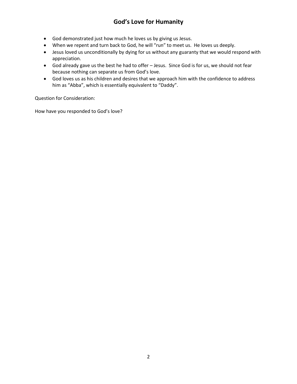# **God's Love for Humanity**

- God demonstrated just how much he loves us by giving us Jesus.
- When we repent and turn back to God, he will "run" to meet us. He loves us deeply.
- Jesus loved us unconditionally by dying for us without any guaranty that we would respond with appreciation.
- God already gave us the best he had to offer Jesus. Since God is for us, we should not fear because nothing can separate us from God's love.
- God loves us as his children and desires that we approach him with the confidence to address him as "Abba", which is essentially equivalent to "Daddy".

Question for Consideration:

How have you responded to God's love?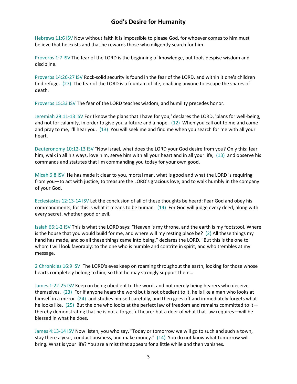### **God's Desire for Humanity**

Hebrews 11:6 ISV Now without faith it is impossible to please God, for whoever comes to him must believe that he exists and that he rewards those who diligently search for him.

Proverbs 1:7 ISV The fear of the LORD is the beginning of knowledge, but fools despise wisdom and discipline.

Proverbs 14:26-27 ISV Rock-solid security is found in the fear of the LORD, and within it one's children find refuge. (27) The fear of the LORD is a fountain of life, enabling anyone to escape the snares of death.

Proverbs 15:33 ISV The fear of the LORD teaches wisdom, and humility precedes honor.

Jeremiah 29:11-13 ISV For I know the plans that I have for you,' declares the LORD, 'plans for well-being, and not for calamity, in order to give you a future and a hope. (12) When you call out to me and come and pray to me, I'll hear you. (13) You will seek me and find me when you search for me with all your heart.

Deuteronomy 10:12-13 ISV "Now Israel, what does the LORD your God desire from you? Only this: fear him, walk in all his ways, love him, serve him with all your heart and in all your life, (13) and observe his commands and statutes that I'm commanding you today for your own good.

Micah 6:8 ISV He has made it clear to you, mortal man, what is good and what the LORD is requiring from you—to act with justice, to treasure the LORD's gracious love, and to walk humbly in the company of your God.

Ecclesiastes 12:13-14 ISV Let the conclusion of all of these thoughts be heard: Fear God and obey his commandments, for this is what it means to be human. (14) For God will judge every deed, along with every secret, whether good or evil.

Isaiah 66:1-2 ISV This is what the LORD says: "Heaven is my throne, and the earth is my footstool. Where is the house that you would build for me, and where will my resting place be? (2) All these things my hand has made, and so all these things came into being," declares the LORD. "But this is the one to whom I will look favorably: to the one who is humble and contrite in spirit, and who trembles at my message.

2 Chronicles 16:9 ISV The LORD's eyes keep on roaming throughout the earth, looking for those whose hearts completely belong to him, so that he may strongly support them…

James 1:22-25 ISV Keep on being obedient to the word, and not merely being hearers who deceive themselves. (23) For if anyone hears the word but is not obedient to it, he is like a man who looks at himself in a mirror (24) and studies himself carefully, and then goes off and immediately forgets what he looks like. (25) But the one who looks at the perfect law of freedom and remains committed to it thereby demonstrating that he is not a forgetful hearer but a doer of what that law requires—will be blessed in what he does.

James 4:13-14 ISV Now listen, you who say, "Today or tomorrow we will go to such and such a town, stay there a year, conduct business, and make money." (14) You do not know what tomorrow will bring. What is your life? You are a mist that appears for a little while and then vanishes.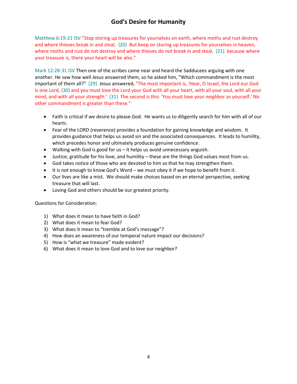# **God's Desire for Humanity**

Matthew 6:19-21 ISV "Stop storing up treasures for yourselves on earth, where moths and rust destroy and where thieves break in and steal. (20) But keep on storing up treasures for yourselves in heaven, where moths and rust do not destroy and where thieves do not break in and steal, (21) because where your treasure is, there your heart will be also."

Mark 12:28-31 ISV Then one of the scribes came near and heard the Sadducees arguing with one another. He saw how well Jesus answered them, so he asked him, "Which commandment is the most important of them all?" (29) Jesus answered, "The most important is, 'Hear, O Israel, the Lord our God is one Lord, (30) and you must love the Lord your God with all your heart, with all your soul, with all your mind, and with all your strength.' (31) The second is this: 'You must love your neighbor as yourself.' No other commandment is greater than these."

- Faith is critical if we desire to please God. He wants us to diligently search for him with all of our hearts.
- Fear of the LORD (reverence) provides a foundation for gaining knowledge and wisdom. It provides guidance that helps us avoid sin and the associated consequences. It leads to humility, which precedes honor and ultimately produces genuine confidence.
- Walking with God is good for us it helps us avoid unnecessary anguish.
- Justice, gratitude for his love, and humility these are the things God values most from us.
- God takes notice of those who are devoted to him so that he may strengthen them.
- It is not enough to know God's Word we must obey it if we hope to benefit from it.
- Our lives are like a mist. We should make choices based on an eternal perspective, seeking treasure that will last.
- Loving God and others should be our greatest priority.

Questions for Consideration:

- 1) What does it mean to have faith in God?
- 2) What does it mean to fear God?
- 3) What does it mean to "tremble at God's message"?
- 4) How does an awareness of our temporal nature impact our decisions?
- 5) How is "what we treasure" made evident?
- 6) What does it mean to love God and to love our neighbor?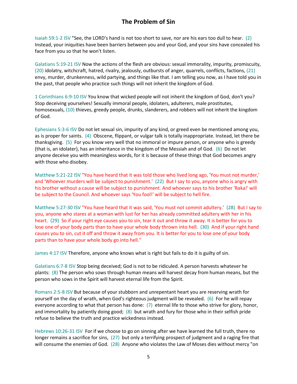Isaiah 59:1-2 ISV "See, the LORD's hand is not too short to save, nor are his ears too dull to hear. (2) Instead, your iniquities have been barriers between you and your God, and your sins have concealed his face from you so that he won't listen.

Galatians 5:19-21 ISV Now the actions of the flesh are obvious: sexual immorality, impurity, promiscuity, (20) idolatry, witchcraft, hatred, rivalry, jealously, outbursts of anger, quarrels, conflicts, factions, (21) envy, murder, drunkenness, wild partying, and things like that. I am telling you now, as I have told you in the past, that people who practice such things will not inherit the kingdom of God.

1 Corinthians 6:9-10 ISV You know that wicked people will not inherit the kingdom of God, don't you? Stop deceiving yourselves! Sexually immoral people, idolaters, adulterers, male prostitutes, homosexuals, (10) thieves, greedy people, drunks, slanderers, and robbers will not inherit the kingdom of God.

Ephesians 5:3-6 ISV Do not let sexual sin, impurity of any kind, or greed even be mentioned among you, as is proper for saints. (4) Obscene, flippant, or vulgar talk is totally inappropriate. Instead, let there be thanksgiving. (5) For you know very well that no immoral or impure person, or anyone who is greedy (that is, an idolater), has an inheritance in the kingdom of the Messiah and of God. (6) Do not let anyone deceive you with meaningless words, for it is because of these things that God becomes angry with those who disobey.

Matthew 5:21-22 ISV "You have heard that it was told those who lived long ago, 'You must not murder,' and 'Whoever murders will be subject to punishment.' (22) But I say to you, anyone who is angry with his brother without a cause will be subject to punishment. And whoever says to his brother 'Raka!' will be subject to the Council. And whoever says 'You fool!' will be subject to hell fire.

Matthew 5:27-30 ISV "You have heard that it was said, 'You must not commit adultery.' (28) But I say to you, anyone who stares at a woman with lust for her has already committed adultery with her in his heart. (29) So if your right eye causes you to sin, tear it out and throw it away. It is better for you to lose one of your body parts than to have your whole body thrown into hell. (30) And if your right hand causes you to sin, cut it off and throw it away from you. It is better for you to lose one of your body parts than to have your whole body go into hell."

James 4:17 ISV Therefore, anyone who knows what is right but fails to do it is guilty of sin.

Galatians 6:7-8 ISV Stop being deceived; God is not to be ridiculed. A person harvests whatever he plants: (8) The person who sows through human means will harvest decay from human means, but the person who sows in the Spirit will harvest eternal life from the Spirit.

Romans 2:5-8 ISV But because of your stubborn and unrepentant heart you are reserving wrath for yourself on the day of wrath, when God's righteous judgment will be revealed. (6) For he will repay everyone according to what that person has done: (7) eternal life to those who strive for glory, honor, and immortality by patiently doing good; (8) but wrath and fury for those who in their selfish pride refuse to believe the truth and practice wickedness instead.

Hebrews 10:26-31 ISV For if we choose to go on sinning after we have learned the full truth, there no longer remains a sacrifice for sins, (27) but only a terrifying prospect of judgment and a raging fire that will consume the enemies of God. (28) Anyone who violates the Law of Moses dies without mercy "on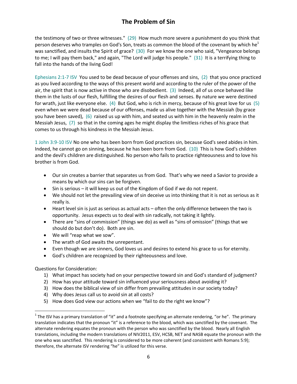# **The Problem of Sin**

the testimony of two or three witnesses." (29) How much more severe a punishment do you think that person deserves who tramples on God's Son, treats as common the blood of the covenant by which he<sup>1</sup> was sanctified, and insults the Spirit of grace? (30) For we know the one who said, "Vengeance belongs to me; I will pay them back," and again, "The Lord will judge his people." (31) It is a terrifying thing to fall into the hands of the living God!

Ephesians 2:1-7 ISV You used to be dead because of your offenses and sins, (2) that you once practiced as you lived according to the ways of this present world and according to the ruler of the power of the air, the spirit that is now active in those who are disobedient. (3) Indeed, all of us once behaved like them in the lusts of our flesh, fulfilling the desires of our flesh and senses. By nature we were destined for wrath, just like everyone else. (4) But God, who is rich in mercy, because of his great love for us (5) even when we were dead because of our offenses, made us alive together with the Messiah (by grace you have been saved), (6) raised us up with him, and seated us with him in the heavenly realm in the Messiah Jesus, (7) so that in the coming ages he might display the limitless riches of his grace that comes to us through his kindness in the Messiah Jesus.

1 John 3:9-10 ISV No one who has been born from God practices sin, because God's seed abides in him. Indeed, he cannot go on sinning, because he has been born from God. (10) This is how God's children and the devil's children are distinguished. No person who fails to practice righteousness and to love his brother is from God.

- Our sin creates a barrier that separates us from God. That's why we need a Savior to provide a means by which our sins can be forgiven.
- Sin is serious it will keep us out of the Kingdom of God if we do not repent.
- We should not let the prevailing view of sin deceive us into thinking that it is not as serious as it really is.
- Heart level sin is just as serious as actual acts often the only difference between the two is opportunity. Jesus expects us to deal with sin radically, not taking it lightly.
- There are "sins of commission" (things we do) as well as "sins of omission" (things that we should do but don't do). Both are sin.
- We will "reap what we sow".
- The wrath of God awaits the unrepentant.
- Even though we are sinners, God loves us and desires to extend his grace to us for eternity.
- God's children are recognized by their righteousness and love.

#### Questions for Consideration:

 $\overline{a}$ 

- 1) What impact has society had on your perspective toward sin and God's standard of judgment?
- 2) How has your attitude toward sin influenced your seriousness about avoiding it?
- 3) How does the biblical view of sin differ from prevailing attitudes in our society today?
- 4) Why does Jesus call us to avoid sin at all costs?
- 5) How does God view our actions when we "fail to do the right we know"?

<sup>&</sup>lt;sup>1</sup> The ISV has a primary translation of "it" and a footnote specifying an alternate rendering, "or he". The primary translation indicates that the pronoun "it" is a reference to the blood, which was sanctified by the covenant. The alternate rendering equates the pronoun with the person who was sanctified by the blood. Nearly all English translations, including the modern translations of NIV2011, ESV, HCSB, NET and NASB equate the pronoun with the one who was sanctified. This rendering is considered to be more coherent (and consistent with Romans 5:9); therefore, the alternate ISV rendering "he" is utilized for this verse.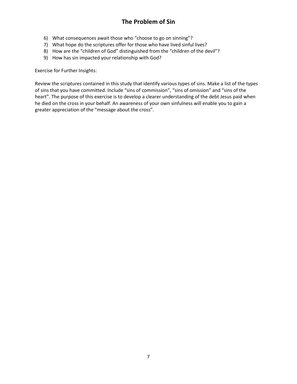# **The Problem of Sin**

- 6) What consequences await those who "choose to go on sinning"?
- 7) What hope do the scriptures offer for those who have lived sinful lives?
- 8) How are the "children of God" distinguished from the "children of the devil"?
- 9) How has sin impacted your relationship with God?

Exercise for Further Insights:

Review the scriptures contained in this study that identify various types of sins. Make a list of the types of sins that you have committed. Include "sins of commission", "sins of omission" and "sins of the heart". The purpose of this exercise is to develop a clearer understanding of the debt Jesus paid when he died on the cross in your behalf. An awareness of your own sinfulness will enable you to gain a greater appreciation of the "message about the cross".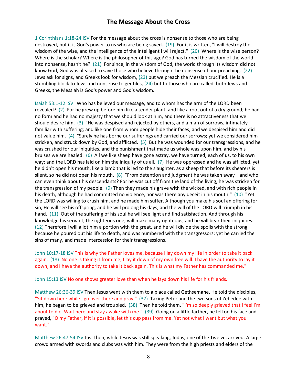1 Corinthians 1:18-24 ISV For the message about the cross is nonsense to those who are being destroyed, but it is God's power to us who are being saved. (19) For it is written, "I will destroy the wisdom of the wise, and the intelligence of the intelligent I will reject." (20) Where is the wise person? Where is the scholar? Where is the philosopher of this age? God has turned the wisdom of the world into nonsense, hasn't he? (21) For since, in the wisdom of God, the world through its wisdom did not know God, God was pleased to save those who believe through the nonsense of our preaching. (22) Jews ask for signs, and Greeks look for wisdom, (23) but we preach the Messiah crucified. He is a stumbling block to Jews and nonsense to gentiles, (24) but to those who are called, both Jews and Greeks, the Messiah is God's power and God's wisdom.

Isaiah 53:1-12 ISV "Who has believed our message, and to whom has the arm of the LORD been revealed? (2) For he grew up before him like a tender plant, and like a root out of a dry ground; he had no form and he had no majesty that we should look at him, and there is no attractiveness that we should desire him. (3) "He was despised and rejected by others, and a man of sorrows, intimately familiar with suffering; and like one from whom people hide their faces; and we despised him and did not value him. (4) "Surely he has borne our sufferings and carried our sorrows; yet we considered him stricken, and struck down by God, and afflicted. (5) But he was wounded for our transgressions, and he was crushed for our iniquities, and the punishment that made us whole was upon him, and by his bruises we are healed. (6) All we like sheep have gone astray, we have turned, each of us, to his own way; and the LORD has laid on him the iniquity of us all. (7) He was oppressed and he was afflicted, yet he didn't open his mouth; like a lamb that is led to the slaughter, as a sheep that before its shearers is silent, so he did not open his mouth. (8) "From detention and judgment he was taken away—and who can even think about his descendants? For he was cut off from the land of the living, he was stricken for the transgression of my people. (9) Then they made his grave with the wicked, and with rich people in his death, although he had committed no violence, nor was there any deceit in his mouth." (10) "Yet the LORD was willing to crush him, and he made him suffer. Although you make his soul an offering for sin, He will see his offspring, and he will prolong his days, and the will of the LORD will triumph in his hand. (11) Out of the suffering of his soul he will see light and find satisfaction. And through his knowledge his servant, the righteous one, will make many righteous, and he will bear their iniquities. (12) Therefore I will allot him a portion with the great, and he will divide the spoils with the strong; because he poured out his life to death, and was numbered with the transgressors; yet he carried the sins of many, and made intercession for their transgressions."

John 10:17-18 ISV This is why the Father loves me, because I lay down my life in order to take it back again. (18) No one is taking it from me; I lay it down of my own free will. I have the authority to lay it down, and I have the authority to take it back again. This is what my Father has commanded me."

John 15:13 ISV No one shows greater love than when he lays down his life for his friends.

Matthew 26:36-39 ISV Then Jesus went with them to a place called Gethsemane. He told the disciples, "Sit down here while I go over there and pray." (37) Taking Peter and the two sons of Zebedee with him, he began to be grieved and troubled. (38) Then he told them, "I'm so deeply grieved that I feel I'm about to die. Wait here and stay awake with me." (39) Going on a little farther, he fell on his face and prayed, "O my Father, if it is possible, let this cup pass from me. Yet not what I want but what you want."

Matthew 26:47-54 ISV Just then, while Jesus was still speaking, Judas, one of the Twelve, arrived. A large crowd armed with swords and clubs was with him. They were from the high priests and elders of the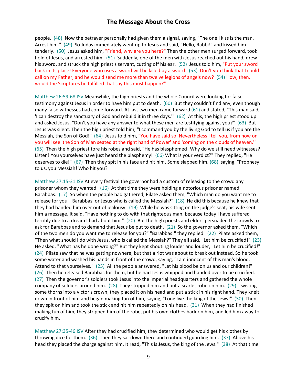people. (48) Now the betrayer personally had given them a signal, saying, "The one I kiss is the man. Arrest him." (49) So Judas immediately went up to Jesus and said, "Hello, Rabbi!" and kissed him tenderly. (50) Jesus asked him, "Friend, why are you here?" Then the other men surged forward, took hold of Jesus, and arrested him. (51) Suddenly, one of the men with Jesus reached out his hand, drew his sword, and struck the high priest's servant, cutting off his ear. (52) Jesus told him, "Put your sword back in its place! Everyone who uses a sword will be killed by a sword. (53) Don't you think that I could call on my Father, and he would send me more than twelve legions of angels now? (54) How, then, would the Scriptures be fulfilled that say this must happen?"

Matthew 26:59-68 ISV Meanwhile, the high priests and the whole Council were looking for false testimony against Jesus in order to have him put to death. (60) But they couldn't find any, even though many false witnesses had come forward. At last two men came forward (61) and stated, "This man said, 'I can destroy the sanctuary of God and rebuild it in three days.'" (62) At this, the high priest stood up and asked Jesus, "Don't you have any answer to what these men are testifying against you?" (63) But Jesus was silent. Then the high priest told him, "I command you by the living God to tell us if you are the Messiah, the Son of God!" (64) Jesus told him, "You have said so. Nevertheless I tell you, from now on you will see 'the Son of Man seated at the right hand of Power' and 'coming on the clouds of heaven.'" (65) Then the high priest tore his robes and said, "He has blasphemed! Why do we still need witnesses? Listen! You yourselves have just heard the blasphemy! (66) What is your verdict?" They replied, "He deserves to die!" (67) Then they spit in his face and hit him. Some slapped him, (68) saying, "Prophesy to us, you Messiah! Who hit you?"

Matthew 27:15-31 ISV At every festival the governor had a custom of releasing to the crowd any prisoner whom they wanted. (16) At that time they were holding a notorious prisoner named Barabbas. (17) So when the people had gathered, Pilate asked them, "Which man do you want me to release for you—Barabbas, or Jesus who is called the Messiah?" (18) He did this because he knew that they had handed him over out of jealousy. (19) While he was sitting on the judge's seat, his wife sent him a message. It said, "Have nothing to do with that righteous man, because today I have suffered terribly due to a dream I had about him." (20) But the high priests and elders persuaded the crowds to ask for Barabbas and to demand that Jesus be put to death. (21) So the governor asked them, "Which of the two men do you want me to release for you?" "Barabbas!" they replied. (22) Pilate asked them, "Then what should I do with Jesus, who is called the Messiah?" They all said, "Let him be crucified!" (23) He asked, "What has he done wrong?" But they kept shouting louder and louder, "Let him be crucified!" (24) Pilate saw that he was getting nowhere, but that a riot was about to break out instead. So he took some water and washed his hands in front of the crowd, saying, "I am innocent of this man's blood. Attend to that yourselves." (25) All the people answered, "Let his blood be on us and our children!" (26) Then he released Barabbas for them, but he had Jesus whipped and handed over to be crucified. (27) Then the governor's soldiers took Jesus into the imperial headquarters and gathered the whole company of soldiers around him. (28) They stripped him and put a scarlet robe on him. (29) Twisting some thorns into a victor's crown, they placed it on his head and put a stick in his right hand. They knelt down in front of him and began making fun of him, saying, "Long live the king of the Jews!" (30) Then they spit on him and took the stick and hit him repeatedly on his head. (31) When they had finished making fun of him, they stripped him of the robe, put his own clothes back on him, and led him away to crucify him.

Matthew 27:35-46 ISV After they had crucified him, they determined who would get his clothes by throwing dice for them. (36) Then they sat down there and continued guarding him. (37) Above his head they placed the charge against him. It read, "This is Jesus, the king of the Jews." (38) At that time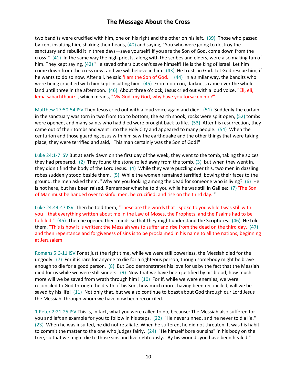two bandits were crucified with him, one on his right and the other on his left. (39) Those who passed by kept insulting him, shaking their heads, (40) and saying, "You who were going to destroy the sanctuary and rebuild it in three days—save yourself! If you are the Son of God, come down from the cross!" (41) In the same way the high priests, along with the scribes and elders, were also making fun of him. They kept saying, (42) "He saved others but can't save himself! He is the king of Israel. Let him come down from the cross now, and we will believe in him. (43) He trusts in God. Let God rescue him, if he wants to do so now. After all, he said 'I am the Son of God.'" (44) In a similar way, the bandits who were being crucified with him kept insulting him. (45) From noon on, darkness came over the whole land until three in the afternoon. (46) About three o'clock, Jesus cried out with a loud voice, "Eli, eli, lema sabachthani?", which means, "My God, my God, why have you forsaken me?"

Matthew 27:50-54 ISV Then Jesus cried out with a loud voice again and died. (51) Suddenly the curtain in the sanctuary was torn in two from top to bottom, the earth shook, rocks were split open, (52) tombs were opened, and many saints who had died were brought back to life. (53) After his resurrection, they came out of their tombs and went into the Holy City and appeared to many people. (54) When the centurion and those guarding Jesus with him saw the earthquake and the other things that were taking place, they were terrified and said, "This man certainly was the Son of God!"

Luke 24:1-7 ISV But at early dawn on the first day of the week, they went to the tomb, taking the spices they had prepared. (2) They found the stone rolled away from the tomb, (3) but when they went in, they didn't find the body of the Lord Jesus. (4) While they were puzzling over this, two men in dazzling robes suddenly stood beside them. (5) While the women remained terrified, bowing their faces to the ground, the men asked them, "Why are you looking among the dead for someone who is living? (6) He is not here, but has been raised. Remember what he told you while he was still in Galilee: (7) 'The Son of Man must be handed over to sinful men, be crucified, and rise on the third day.'"

Luke 24:44-47 ISV Then he told them, "These are the words that I spoke to you while I was still with you—that everything written about me in the Law of Moses, the Prophets, and the Psalms had to be fulfilled." (45) Then he opened their minds so that they might understand the Scriptures. (46) He told them, "This is how it is written: the Messiah was to suffer and rise from the dead on the third day, (47) and then repentance and forgiveness of sins is to be proclaimed in his name to all the nations, beginning at Jerusalem.

Romans 5:6-11 ISV For at just the right time, while we were still powerless, the Messiah died for the ungodly. (7) For it is rare for anyone to die for a righteous person, though somebody might be brave enough to die for a good person. (8) But God demonstrates his love for us by the fact that the Messiah died for us while we were still sinners. (9) Now that we have been justified by his blood, how much more will we be saved from wrath through him! (10) For if, while we were enemies, we were reconciled to God through the death of his Son, how much more, having been reconciled, will we be saved by his life! (11) Not only that, but we also continue to boast about God through our Lord Jesus the Messiah, through whom we have now been reconciled.

1 Peter 2:21-25 ISV This is, in fact, what you were called to do, because: The Messiah also suffered for you and left an example for you to follow in his steps. (22) "He never sinned, and he never told a lie." (23) When he was insulted, he did not retaliate. When he suffered, he did not threaten. It was his habit to commit the matter to the one who judges fairly. (24) "He himself bore our sins" in his body on the tree, so that we might die to those sins and live righteously. "By his wounds you have been healed."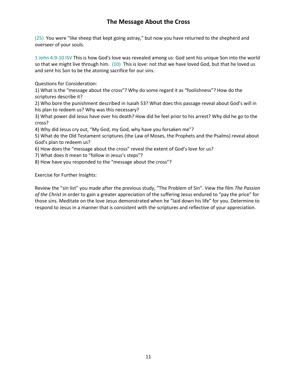(25) You were "like sheep that kept going astray," but now you have returned to the shepherd and overseer of your souls.

1 John 4:9-10 ISV This is how God's love was revealed among us: God sent his unique Son into the world so that we might live through him. (10) This is love: not that we have loved God, but that he loved us and sent his Son to be the atoning sacrifice for our sins.

Questions for Consideration:

1) What is the "message about the cross"? Why do some regard it as "foolishness"? How do the scriptures describe it?

2) Who bore the punishment described in Isaiah 53? What does this passage reveal about God's will in his plan to redeem us? Why was this necessary?

3) What power did Jesus have over his death? How did he feel prior to his arrest? Why did he go to the cross?

4) Why did Jesus cry out, "My God, my God, why have you forsaken me"?

5) What do the Old Testament scriptures (the Law of Moses, the Prophets and the Psalms) reveal about God's plan to redeem us?

6) How does the "message about the cross" reveal the extent of God's love for us?

7) What does it mean to "follow in Jesus's steps"?

8) How have you responded to the "message about the cross"?

Exercise for Further Insights:

Review the "sin list" you made after the previous study, "The Problem of Sin". View the film *The Passion of the Christ* in order to gain a greater appreciation of the suffering Jesus endured to "pay the price" for those sins. Meditate on the love Jesus demonstrated when he "laid down his life" for you. Determine to respond to Jesus in a manner that is consistent with the scriptures and reflective of your appreciation.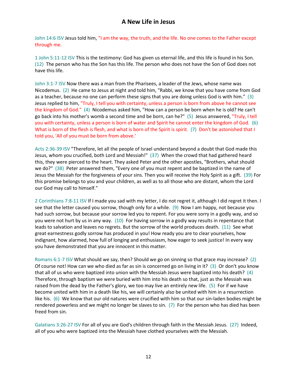John 14:6 ISV Jesus told him, "I am the way, the truth, and the life. No one comes to the Father except through me.

1 John 5:11-12 ISV This is the testimony: God has given us eternal life, and this life is found in his Son. (12) The person who has the Son has this life. The person who does not have the Son of God does not have this life.

John 3:1-7 ISV Now there was a man from the Pharisees, a leader of the Jews, whose name was Nicodemus. (2) He came to Jesus at night and told him, "Rabbi, we know that you have come from God as a teacher, because no one can perform these signs that you are doing unless God is with him." (3) Jesus replied to him, "Truly, I tell you with certainty, unless a person is born from above he cannot see the kingdom of God." (4) Nicodemus asked him, "How can a person be born when he is old? He can't go back into his mother's womb a second time and be born, can he?" (5) Jesus answered, "Truly, I tell you with certainty, unless a person is born of water and Spirit he cannot enter the kingdom of God. (6) What is born of the flesh is flesh, and what is born of the Spirit is spirit. (7) Don't be astonished that I told you, 'All of you must be born from above.'

Acts 2:36-39 ISV "Therefore, let all the people of Israel understand beyond a doubt that God made this Jesus, whom you crucified, both Lord and Messiah!" (37) When the crowd that had gathered heard this, they were pierced to the heart. They asked Peter and the other apostles, "Brothers, what should we do?" (38) Peter answered them, "Every one of you must repent and be baptized in the name of Jesus the Messiah for the forgiveness of your sins. Then you will receive the Holy Spirit as a gift. (39) For this promise belongs to you and your children, as well as to all those who are distant, whom the Lord our God may call to himself."

2 Corinthians 7:8-11 ISV If I made you sad with my letter, I do not regret it, although I did regret it then. I see that the letter caused you sorrow, though only for a while. (9) Now I am happy, not because you had such sorrow, but because your sorrow led you to repent. For you were sorry in a godly way, and so you were not hurt by us in any way. (10) For having sorrow in a godly way results in repentance that leads to salvation and leaves no regrets. But the sorrow of the world produces death. (11) See what great earnestness godly sorrow has produced in you! How ready you are to clear yourselves, how indignant, how alarmed, how full of longing and enthusiasm, how eager to seek justice! In every way you have demonstrated that you are innocent in this matter.

Romans 6:1-7 ISV What should we say, then? Should we go on sinning so that grace may increase? (2) Of course not! How can we who died as far as sin is concerned go on living in it? (3) Or don't you know that all of us who were baptized into union with the Messiah Jesus were baptized into his death? (4) Therefore, through baptism we were buried with him into his death so that, just as the Messiah was raised from the dead by the Father's glory, we too may live an entirely new life. (5) For if we have become united with him in a death like his, we will certainly also be united with him in a resurrection like his. (6) We know that our old natures were crucified with him so that our sin-laden bodies might be rendered powerless and we might no longer be slaves to sin. (7) For the person who has died has been freed from sin.

Galatians 3:26-27 ISV For all of you are God's children through faith in the Messiah Jesus. (27) Indeed, all of you who were baptized into the Messiah have clothed yourselves with the Messiah.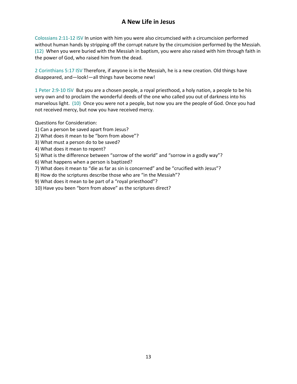# **A New Life in Jesus**

Colossians 2:11-12 ISV In union with him you were also circumcised with a circumcision performed without human hands by stripping off the corrupt nature by the circumcision performed by the Messiah. (12) When you were buried with the Messiah in baptism, you were also raised with him through faith in the power of God, who raised him from the dead.

2 Corinthians 5:17 ISV Therefore, if anyone is in the Messiah, he is a new creation. Old things have disappeared, and—look!—all things have become new!

1 Peter 2:9-10 ISV But you are a chosen people, a royal priesthood, a holy nation, a people to be his very own and to proclaim the wonderful deeds of the one who called you out of darkness into his marvelous light. (10) Once you were not a people, but now you are the people of God. Once you had not received mercy, but now you have received mercy.

Questions for Consideration:

- 1) Can a person be saved apart from Jesus?
- 2) What does it mean to be "born from above"?
- 3) What must a person do to be saved?
- 4) What does it mean to repent?
- 5) What is the difference between "sorrow of the world" and "sorrow in a godly way"?
- 6) What happens when a person is baptized?
- 7) What does it mean to "die as far as sin is concerned" and be "crucified with Jesus"?
- 8) How do the scriptures describe those who are "in the Messiah"?
- 9) What does it mean to be part of a "royal priesthood"?
- 10) Have you been "born from above" as the scriptures direct?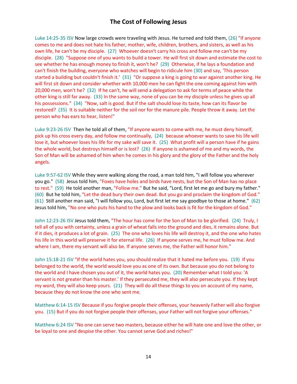## **The Cost of Following Jesus**

Luke 14:25-35 ISV Now large crowds were traveling with Jesus. He turned and told them, (26) "If anyone comes to me and does not hate his father, mother, wife, children, brothers, and sisters, as well as his own life, he can't be my disciple. (27) Whoever doesn't carry his cross and follow me can't be my disciple. (28) "Suppose one of you wants to build a tower. He will first sit down and estimate the cost to see whether he has enough money to finish it, won't he? (29) Otherwise, if he lays a foundation and can't finish the building, everyone who watches will begin to ridicule him (30) and say, 'This person started a building but couldn't finish it.' (31) "Or suppose a king is going to war against another king. He will first sit down and consider whether with 10,000 men he can fight the one coming against him with 20,000 men, won't he? (32) If he can't, he will send a delegation to ask for terms of peace while the other king is still far away. (33) In the same way, none of you can be my disciple unless he gives up all his possessions." (34) "Now, salt is good. But if the salt should lose its taste, how can its flavor be restored? (35) It is suitable neither for the soil nor for the manure pile. People throw it away. Let the person who has ears to hear, listen!"

Luke 9:23-26 ISV Then he told all of them, "If anyone wants to come with me, he must deny himself, pick up his cross every day, and follow me continually, (24) because whoever wants to save his life will lose it, but whoever loses his life for my sake will save it. (25) What profit will a person have if he gains the whole world, but destroys himself or is lost? (26) If anyone is ashamed of me and my words, the Son of Man will be ashamed of him when he comes in his glory and the glory of the Father and the holy angels.

Luke 9:57-62 ISV While they were walking along the road, a man told him, "I will follow you wherever you go." (58) Jesus told him, "Foxes have holes and birds have nests, but the Son of Man has no place to rest." (59) He told another man, "Follow me." But he said, "Lord, first let me go and bury my father." (60) But he told him, "Let the dead bury their own dead. But you go and proclaim the kingdom of God." (61) Still another man said, "I will follow you, Lord, but first let me say goodbye to those at home." (62) Jesus told him, "No one who puts his hand to the plow and looks back is fit for the kingdom of God."

John 12:23-26 ISV Jesus told them, "The hour has come for the Son of Man to be glorified. (24) Truly, I tell all of you with certainty, unless a grain of wheat falls into the ground and dies, it remains alone. But if it dies, it produces a lot of grain. (25) The one who loves his life will destroy it, and the one who hates his life in this world will preserve it for eternal life. (26) If anyone serves me, he must follow me. And where I am, there my servant will also be. If anyone serves me, the Father will honor him."

John 15:18-21 ISV "If the world hates you, you should realize that it hated me before you. (19) If you belonged to the world, the world would love you as one of its own. But because you do not belong to the world and I have chosen you out of it, the world hates you. (20) Remember what I told you: 'A servant is not greater than his master.' If they persecuted me, they will also persecute you. If they kept my word, they will also keep yours. (21) They will do all these things to you on account of my name, because they do not know the one who sent me.

Matthew 6:14-15 ISV Because if you forgive people their offenses, your heavenly Father will also forgive you. (15) But if you do not forgive people their offenses, your Father will not forgive your offenses."

Matthew 6:24 ISV "No one can serve two masters, because either he will hate one and love the other, or be loyal to one and despise the other. You cannot serve God and riches!"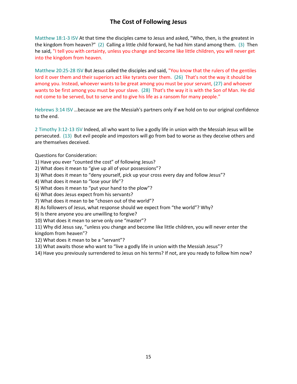# **The Cost of Following Jesus**

Matthew 18:1-3 ISV At that time the disciples came to Jesus and asked, "Who, then, is the greatest in the kingdom from heaven?" (2) Calling a little child forward, he had him stand among them. (3) Then he said, "I tell you with certainty, unless you change and become like little children, you will never get into the kingdom from heaven.

Matthew 20:25-28 ISV But Jesus called the disciples and said, "You know that the rulers of the gentiles lord it over them and their superiors act like tyrants over them. (26) That's not the way it should be among you. Instead, whoever wants to be great among you must be your servant, (27) and whoever wants to be first among you must be your slave. (28) That's the way it is with the Son of Man. He did not come to be served, but to serve and to give his life as a ransom for many people."

Hebrews 3:14 ISV …because we are the Messiah's partners only if we hold on to our original confidence to the end.

2 Timothy 3:12-13 ISV Indeed, all who want to live a godly life in union with the Messiah Jesus will be persecuted. (13) But evil people and impostors will go from bad to worse as they deceive others and are themselves deceived.

Questions for Consideration:

1) Have you ever "counted the cost" of following Jesus?

2) What does it mean to "give up all of your possessions"?

3) What does it mean to "deny yourself, pick up your cross every day and follow Jesus"?

4) What does it mean to "lose your life"?

5) What does it mean to "put your hand to the plow"?

6) What does Jesus expect from his servants?

7) What does it mean to be "chosen out of the world"?

8) As followers of Jesus, what response should we expect from "the world"? Why?

9) Is there anyone you are unwilling to forgive?

10) What does it mean to serve only one "master"?

11) Why did Jesus say, "unless you change and become like little children, you will never enter the kingdom from heaven"?

12) What does it mean to be a "servant"?

13) What awaits those who want to "live a godly life in union with the Messiah Jesus"?

14) Have you previously surrendered to Jesus on his terms? If not, are you ready to follow him now?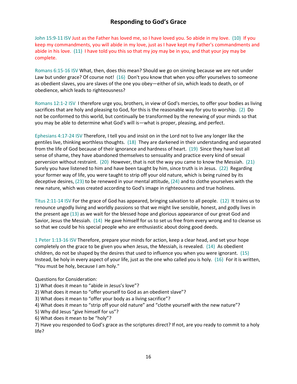## **Responding to God's Grace**

John 15:9-11 ISV Just as the Father has loved me, so I have loved you. So abide in my love. (10) If you keep my commandments, you will abide in my love, just as I have kept my Father's commandments and abide in his love. (11) I have told you this so that my joy may be in you, and that your joy may be complete.

Romans 6:15-16 ISV What, then, does this mean? Should we go on sinning because we are not under Law but under grace? Of course not! (16) Don't you know that when you offer yourselves to someone as obedient slaves, you are slaves of the one you obey—either of sin, which leads to death, or of obedience, which leads to righteousness?

Romans 12:1-2 ISV I therefore urge you, brothers, in view of God's mercies, to offer your bodies as living sacrifices that are holy and pleasing to God, for this is the reasonable way for you to worship. (2) Do not be conformed to this world, but continually be transformed by the renewing of your minds so that you may be able to determine what God's will is—what is proper, pleasing, and perfect.

Ephesians 4:17-24 ISV Therefore, I tell you and insist on in the Lord not to live any longer like the gentiles live, thinking worthless thoughts. (18) They are darkened in their understanding and separated from the life of God because of their ignorance and hardness of heart. (19) Since they have lost all sense of shame, they have abandoned themselves to sensuality and practice every kind of sexual perversion without restraint. (20) However, that is not the way you came to know the Messiah. (21) Surely you have listened to him and have been taught by him, since truth is in Jesus. (22) Regarding your former way of life, you were taught to strip off your old nature, which is being ruined by its deceptive desires, (23) to be renewed in your mental attitude, (24) and to clothe yourselves with the new nature, which was created according to God's image in righteousness and true holiness.

Titus 2:11-14 ISV For the grace of God has appeared, bringing salvation to all people. (12) It trains us to renounce ungodly living and worldly passions so that we might live sensible, honest, and godly lives in the present age (13) as we wait for the blessed hope and glorious appearance of our great God and Savior, Jesus the Messiah. (14) He gave himself for us to set us free from every wrong and to cleanse us so that we could be his special people who are enthusiastic about doing good deeds.

1 Peter 1:13-16 ISV Therefore, prepare your minds for action, keep a clear head, and set your hope completely on the grace to be given you when Jesus, the Messiah, is revealed. (14) As obedient children, do not be shaped by the desires that used to influence you when you were ignorant. (15) Instead, be holy in every aspect of your life, just as the one who called you is holy. (16) For it is written, "You must be holy, because I am holy."

Questions for Consideration:

- 1) What does it mean to "abide in Jesus's love"?
- 2) What does it mean to "offer yourself to God as an obedient slave"?
- 3) What does it mean to "offer your body as a living sacrifice"?

4) What does it mean to "strip off your old nature" and "clothe yourself with the new nature"?

5) Why did Jesus "give himself for us"?

6) What does it mean to be "holy"?

7) Have you responded to God's grace as the scriptures direct? If not, are you ready to commit to a holy life?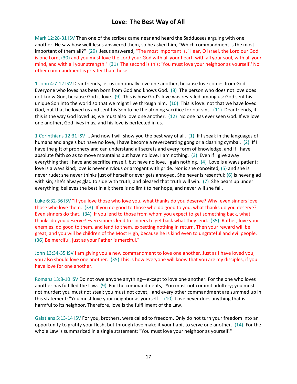## **Love: The Best Way of All**

Mark 12:28-31 ISV Then one of the scribes came near and heard the Sadducees arguing with one another. He saw how well Jesus answered them, so he asked him, "Which commandment is the most important of them all?" (29) Jesus answered, "The most important is, 'Hear, O Israel, the Lord our God is one Lord, (30) and you must love the Lord your God with all your heart, with all your soul, with all your mind, and with all your strength.' (31) The second is this: 'You must love your neighbor as yourself.' No other commandment is greater than these."

1 John 4:7-12 ISV Dear friends, let us continually love one another, because love comes from God. Everyone who loves has been born from God and knows God. (8) The person who does not love does not know God, because God is love. (9) This is how God's love was revealed among us: God sent his unique Son into the world so that we might live through him. (10) This is love: not that we have loved God, but that he loved us and sent his Son to be the atoning sacrifice for our sins. (11) Dear friends, if this is the way God loved us, we must also love one another. (12) No one has ever seen God. If we love one another, God lives in us, and his love is perfected in us.

1 Corinthians 12:31 ISV … And now I will show you the best way of all. (1) If I speak in the languages of humans and angels but have no love, I have become a reverberating gong or a clashing cymbal. (2) If I have the gift of prophecy and can understand all secrets and every form of knowledge, and if I have absolute faith so as to move mountains but have no love, I am nothing. (3) Even if I give away everything that I have and sacrifice myself, but have no love, I gain nothing. (4) Love is always patient; love is always kind; love is never envious or arrogant with pride. Nor is she conceited, (5) and she is never rude; she never thinks just of herself or ever gets annoyed. She never is resentful; (6) is never glad with sin; she's always glad to side with truth, and pleased that truth will win. (7) She bears up under everything; believes the best in all; there is no limit to her hope, and never will she fall.

Luke 6:32-36 ISV "If you love those who love you, what thanks do you deserve? Why, even sinners love those who love them. (33) If you do good to those who do good to you, what thanks do you deserve? Even sinners do that. (34) If you lend to those from whom you expect to get something back, what thanks do you deserve? Even sinners lend to sinners to get back what they lend. (35) Rather, love your enemies, do good to them, and lend to them, expecting nothing in return. Then your reward will be great, and you will be children of the Most High, because he is kind even to ungrateful and evil people. (36) Be merciful, just as your Father is merciful."

John 13:34-35 ISV I am giving you a new commandment to love one another. Just as I have loved you, you also should love one another. (35) This is how everyone will know that you are my disciples, if you have love for one another."

Romans 13:8-10 ISV Do not owe anyone anything—except to love one another. For the one who loves another has fulfilled the Law. (9) For the commandments, "You must not commit adultery; you must not murder; you must not steal; you must not covet," and every other commandment are summed up in this statement: "You must love your neighbor as yourself." (10) Love never does anything that is harmful to its neighbor. Therefore, love is the fulfillment of the Law.

Galatians 5:13-14 ISV For you, brothers, were called to freedom. Only do not turn your freedom into an opportunity to gratify your flesh, but through love make it your habit to serve one another. (14) For the whole Law is summarized in a single statement: "You must love your neighbor as yourself."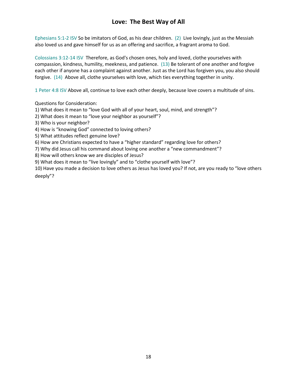# **Love: The Best Way of All**

Ephesians 5:1-2 ISV So be imitators of God, as his dear children. (2) Live lovingly, just as the Messiah also loved us and gave himself for us as an offering and sacrifice, a fragrant aroma to God.

Colossians 3:12-14 ISV Therefore, as God's chosen ones, holy and loved, clothe yourselves with compassion, kindness, humility, meekness, and patience. (13) Be tolerant of one another and forgive each other if anyone has a complaint against another. Just as the Lord has forgiven you, you also should forgive. (14) Above all, clothe yourselves with love, which ties everything together in unity.

1 Peter 4:8 ISV Above all, continue to love each other deeply, because love covers a multitude of sins.

Questions for Consideration:

1) What does it mean to "love God with all of your heart, soul, mind, and strength"?

2) What does it mean to "love your neighbor as yourself"?

3) Who is your neighbor?

4) How is "knowing God" connected to loving others?

5) What attitudes reflect genuine love?

6) How are Christians expected to have a "higher standard" regarding love for others?

7) Why did Jesus call his command about loving one another a "new commandment"?

8) How will others know we are disciples of Jesus?

9) What does it mean to "live lovingly" and to "clothe yourself with love"?

10) Have you made a decision to love others as Jesus has loved you? If not, are you ready to "love others deeply"?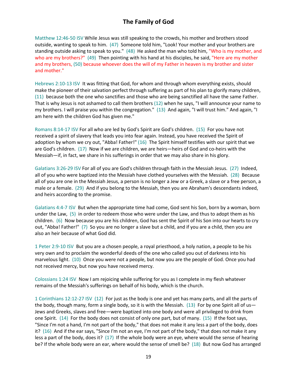# **The Family of God**

Matthew 12:46-50 ISV While Jesus was still speaking to the crowds, his mother and brothers stood outside, wanting to speak to him. (47) Someone told him, "Look! Your mother and your brothers are standing outside asking to speak to you." (48) He asked the man who told him, "Who is my mother, and who are my brothers?" (49) Then pointing with his hand at his disciples, he said, "Here are my mother and my brothers, (50) because whoever does the will of my Father in heaven is my brother and sister and mother."

Hebrews 2:10-13 ISV It was fitting that God, for whom and through whom everything exists, should make the pioneer of their salvation perfect through suffering as part of his plan to glorify many children, (11) because both the one who sanctifies and those who are being sanctified all have the same Father. That is why Jesus is not ashamed to call them brothers (12) when he says, "I will announce your name to my brothers. I will praise you within the congregation." (13) And again, "I will trust him." And again, "I am here with the children God has given me."

Romans 8:14-17 ISV For all who are led by God's Spirit are God's children. (15) For you have not received a spirit of slavery that leads you into fear again. Instead, you have received the Spirit of adoption by whom we cry out, "Abba! Father!" (16) The Spirit himself testifies with our spirit that we are God's children. (17) Now if we are children, we are heirs—heirs of God and co-heirs with the Messiah—if, in fact, we share in his sufferings in order that we may also share in his glory.

Galatians 3:26-29 ISV For all of you are God's children through faith in the Messiah Jesus. (27) Indeed, all of you who were baptized into the Messiah have clothed yourselves with the Messiah. (28) Because all of you are one in the Messiah Jesus, a person is no longer a Jew or a Greek, a slave or a free person, a male or a female. (29) And if you belong to the Messiah, then you are Abraham's descendants indeed, and heirs according to the promise.

Galatians 4:4-7 ISV But when the appropriate time had come, God sent his Son, born by a woman, born under the Law, (5) in order to redeem those who were under the Law, and thus to adopt them as his children. (6) Now because you are his children, God has sent the Spirit of his Son into our hearts to cry out, "Abba! Father!" (7) So you are no longer a slave but a child, and if you are a child, then you are also an heir because of what God did.

1 Peter 2:9-10 ISV But you are a chosen people, a royal priesthood, a holy nation, a people to be his very own and to proclaim the wonderful deeds of the one who called you out of darkness into his marvelous light. (10) Once you were not a people, but now you are the people of God. Once you had not received mercy, but now you have received mercy.

Colossians 1:24 ISV Now I am rejoicing while suffering for you as I complete in my flesh whatever remains of the Messiah's sufferings on behalf of his body, which is the church.

1 Corinthians 12:12-27 ISV (12) For just as the body is one and yet has many parts, and all the parts of the body, though many, form a single body, so it is with the Messiah. (13) For by one Spirit all of us-Jews and Greeks, slaves and free—were baptized into one body and were all privileged to drink from one Spirit. (14) For the body does not consist of only one part, but of many. (15) If the foot says, "Since I'm not a hand, I'm not part of the body," that does not make it any less a part of the body, does it? (16) And if the ear says, "Since I'm not an eye, I'm not part of the body," that does not make it any less a part of the body, does it? (17) If the whole body were an eye, where would the sense of hearing be? If the whole body were an ear, where would the sense of smell be? (18) But now God has arranged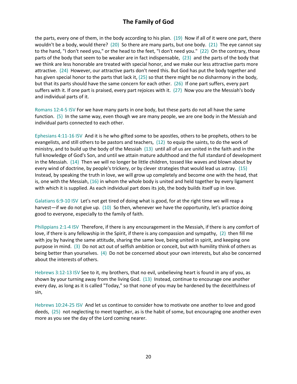## **The Family of God**

the parts, every one of them, in the body according to his plan. (19) Now if all of it were one part, there wouldn't be a body, would there? (20) So there are many parts, but one body. (21) The eye cannot say to the hand, "I don't need you," or the head to the feet, "I don't need you." (22) On the contrary, those parts of the body that seem to be weaker are in fact indispensable, (23) and the parts of the body that we think are less honorable are treated with special honor, and we make our less attractive parts more attractive. (24) However, our attractive parts don't need this. But God has put the body together and has given special honor to the parts that lack it, (25) so that there might be no disharmony in the body, but that its parts should have the same concern for each other. (26) If one part suffers, every part suffers with it. If one part is praised, every part rejoices with it. (27) Now you are the Messiah's body and individual parts of it.

Romans 12:4-5 ISV For we have many parts in one body, but these parts do not all have the same function. (5) In the same way, even though we are many people, we are one body in the Messiah and individual parts connected to each other.

Ephesians 4:11-16 ISV And it is he who gifted some to be apostles, others to be prophets, others to be evangelists, and still others to be pastors and teachers, (12) to equip the saints, to do the work of ministry, and to build up the body of the Messiah (13) until all of us are united in the faith and in the full knowledge of God's Son, and until we attain mature adulthood and the full standard of development in the Messiah. (14) Then we will no longer be little children, tossed like waves and blown about by every wind of doctrine, by people's trickery, or by clever strategies that would lead us astray. (15) Instead, by speaking the truth in love, we will grow up completely and become one with the head, that is, one with the Messiah, (16) in whom the whole body is united and held together by every ligament with which it is supplied. As each individual part does its job, the body builds itself up in love.

Galatians 6:9-10 ISV Let's not get tired of doing what is good, for at the right time we will reap a harvest—if we do not give up. (10) So then, whenever we have the opportunity, let's practice doing good to everyone, especially to the family of faith.

Philippians 2:1-4 ISV Therefore, if there is any encouragement in the Messiah, if there is any comfort of love, if there is any fellowship in the Spirit, if there is any compassion and sympathy, (2) then fill me with joy by having the same attitude, sharing the same love, being united in spirit, and keeping one purpose in mind. (3) Do not act out of selfish ambition or conceit, but with humility think of others as being better than yourselves. (4) Do not be concerned about your own interests, but also be concerned about the interests of others.

Hebrews 3:12-13 ISV See to it, my brothers, that no evil, unbelieving heart is found in any of you, as shown by your turning away from the living God. (13) Instead, continue to encourage one another every day, as long as it is called "Today," so that none of you may be hardened by the deceitfulness of sin,

Hebrews 10:24-25 ISV And let us continue to consider how to motivate one another to love and good deeds, (25) not neglecting to meet together, as is the habit of some, but encouraging one another even more as you see the day of the Lord coming nearer.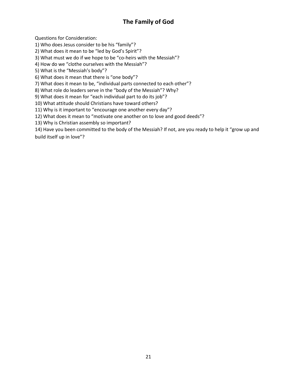# **The Family of God**

Questions for Consideration:

1) Who does Jesus consider to be his "family"?

2) What does it mean to be "led by God's Spirit"?

3) What must we do if we hope to be "co-heirs with the Messiah"?

4) How do we "clothe ourselves with the Messiah"?

5) What is the "Messiah's body"?

6) What does it mean that there is "one body"?

7) What does it mean to be, "individual parts connected to each other"?

8) What role do leaders serve in the "body of the Messiah"? Why?

9) What does it mean for "each individual part to do its job"?

10) What attitude should Christians have toward others?

11) Why is it important to "encourage one another every day"?

12) What does it mean to "motivate one another on to love and good deeds"?

13) Why is Christian assembly so important?

14) Have you been committed to the body of the Messiah? If not, are you ready to help it "grow up and build itself up in love"?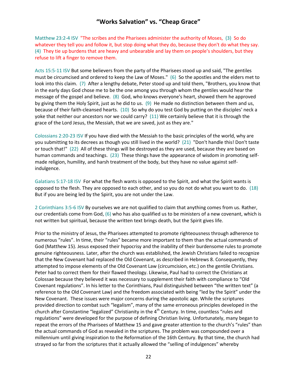Matthew 23:2-4 ISV "The scribes and the Pharisees administer the authority of Moses, (3) So do whatever they tell you and follow it, but stop doing what they do, because they don't do what they say. (4) They tie up burdens that are heavy and unbearable and lay them on people's shoulders, but they refuse to lift a finger to remove them.

Acts 15:5-11 ISV But some believers from the party of the Pharisees stood up and said, "The gentiles must be circumcised and ordered to keep the Law of Moses." (6) So the apostles and the elders met to look into this claim. (7) After a lengthy debate, Peter stood up and told them, "Brothers, you know that in the early days God chose me to be the one among you through whom the gentiles would hear the message of the gospel and believe. (8) God, who knows everyone's heart, showed them he approved by giving them the Holy Spirit, just as he did to us. (9) He made no distinction between them and us, because of their faith-cleansed hearts. (10) So why do you test God by putting on the disciples' neck a yoke that neither our ancestors nor we could carry? (11) We certainly believe that it is through the grace of the Lord Jesus, the Messiah, that we are saved, just as they are."

Colossians 2:20-23 ISV If you have died with the Messiah to the basic principles of the world, why are you submitting to its decrees as though you still lived in the world? (21) "Don't handle this! Don't taste or touch that!" (22) All of these things will be destroyed as they are used, because they are based on human commands and teachings. (23) These things have the appearance of wisdom in promoting selfmade religion, humility, and harsh treatment of the body, but they have no value against selfindulgence.

Galatians 5:17-18 ISV For what the flesh wants is opposed to the Spirit, and what the Spirit wants is opposed to the flesh. They are opposed to each other, and so you do not do what you want to do. (18) But if you are being led by the Spirit, you are not under the Law.

2 Corinthians 3:5-6 ISV By ourselves we are not qualified to claim that anything comes from us. Rather, our credentials come from God, (6) who has also qualified us to be ministers of a new covenant, which is not written but spiritual, because the written text brings death, but the Spirit gives life.

Prior to the ministry of Jesus, the Pharisees attempted to promote righteousness through adherence to numerous "rules". In time, their "rules" became more important to them than the actual commands of God (Matthew 15). Jesus exposed their hypocrisy and the inability of their burdensome rules to promote genuine righteousness. Later, after the church was established, the Jewish Christians failed to recognize that the New Covenant had replaced the Old Covenant, as described in Hebrews 8. Consequently, they attempted to impose elements of the Old Covenant Law (circumcision, etc.) on the gentile Christians. Peter had to correct them for their flawed theology. Likewise, Paul had to correct the Christians at Colossae because they believed it was necessary to supplement their faith with compliance to "Old Covenant regulations". In his letter to the Corinthians, Paul distinguished between "the written text" (a reference to the Old Covenant Law) and the freedom associated with being "led by the Spirit" under the New Covenant. These issues were major concerns during the apostolic age. While the scriptures provided direction to combat such "legalism", many of the same erroneous principles developed in the church after Constantine "legalized" Christianity in the  $4<sup>th</sup>$  Century. In time, countless "rules and regulations" were developed for the purpose of defining Christian living. Unfortunately, many began to repeat the errors of the Pharisees of Matthew 15 and gave greater attention to the church's "rules" than the actual commands of God as revealed in the scriptures. The problem was compounded over a millennium until giving inspiration to the Reformation of the 16th Century. By that time, the church had strayed so far from the scriptures that it actually allowed the "selling of indulgences" whereby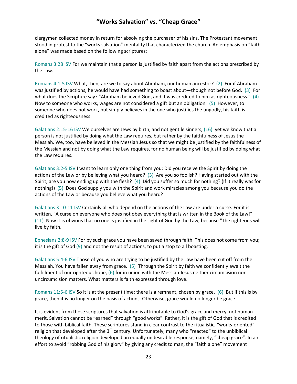clergymen collected money in return for absolving the purchaser of his sins. The Protestant movement stood in protest to the "works salvation" mentality that characterized the church. An emphasis on "faith alone" was made based on the following scriptures:

Romans 3:28 ISV For we maintain that a person is justified by faith apart from the actions prescribed by the Law.

Romans 4:1-5 ISV What, then, are we to say about Abraham, our human ancestor? (2) For if Abraham was justified by actions, he would have had something to boast about—though not before God. (3) For what does the Scripture say? "Abraham believed God, and it was credited to him as righteousness." (4) Now to someone who works, wages are not considered a gift but an obligation. (5) However, to someone who does not work, but simply believes in the one who justifies the ungodly, his faith is credited as righteousness.

Galatians 2:15-16 ISV We ourselves are Jews by birth, and not gentile sinners, (16) yet we know that a person is not justified by doing what the Law requires, but rather by the faithfulness of Jesus the Messiah. We, too, have believed in the Messiah Jesus so that we might be justified by the faithfulness of the Messiah and not by doing what the Law requires, for no human being will be justified by doing what the Law requires.

Galatians 3:2-5 ISV I want to learn only one thing from you: Did you receive the Spirit by doing the actions of the Law or by believing what you heard? (3) Are you so foolish? Having started out with the Spirit, are you now ending up with the flesh? (4) Did you suffer so much for nothing? (If it really was for nothing!) (5) Does God supply you with the Spirit and work miracles among you because you do the actions of the Law or because you believe what you heard?

Galatians 3:10-11 ISV Certainly all who depend on the actions of the Law are under a curse. For it is written, "A curse on everyone who does not obey everything that is written in the Book of the Law!" (11) Now it is obvious that no one is justified in the sight of God by the Law, because "The righteous will live by faith."

Ephesians 2:8-9 ISV For by such grace you have been saved through faith. This does not come from you; it is the gift of God (9) and not the result of actions, to put a stop to all boasting.

Galatians 5:4-6 ISV Those of you who are trying to be justified by the Law have been cut off from the Messiah. You have fallen away from grace. (5) Through the Spirit by faith we confidently await the fulfillment of our righteous hope, (6) for in union with the Messiah Jesus neither circumcision nor uncircumcision matters. What matters is faith expressed through love.

Romans 11:5-6 ISV So it is at the present time: there is a remnant, chosen by grace. (6) But if this is by grace, then it is no longer on the basis of actions. Otherwise, grace would no longer be grace.

It is evident from these scriptures that salvation is attributable to God's grace and mercy, not human merit. Salvation cannot be "earned" through "good works". Rather, it is the gift of God that is credited to those with biblical faith. These scriptures stand in clear contrast to the ritualistic, "works-oriented" religion that developed after the 3<sup>rd</sup> century. Unfortunately, many who "reacted" to the unbiblical theology of ritualistic religion developed an equally undesirable response, namely, "cheap grace". In an effort to avoid "robbing God of his glory" by giving any credit to man, the "faith alone" movement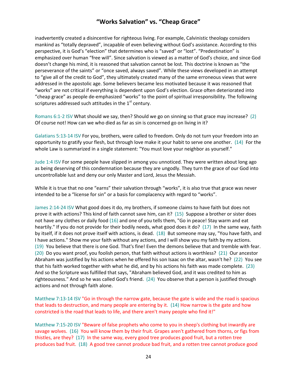inadvertently created a disincentive for righteous living. For example, Calvinistic theology considers mankind as "totally depraved", incapable of even believing without God's assistance. According to this perspective, it is God's "election" that determines who is "saved" or "lost". "Predestination" is emphasized over human "free will". Since salvation is viewed as a matter of God's choice, and since God doesn't change his mind, it is reasoned that salvation cannot be lost. This doctrine is known as "the perseverance of the saints" or "once saved, always saved". While these views developed in an attempt to "give all of the credit to God", they ultimately created many of the same erroneous views that were addressed in the apostolic age. Some believers became less motivated because it was reasoned that "works" are not critical if everything is dependent upon God's election. Grace often deteriorated into "cheap grace" as people de-emphasized "works" to the point of spiritual irresponsibility. The following scriptures addressed such attitudes in the  $1^{\text{st}}$  century.

Romans 6:1-2 ISV What should we say, then? Should we go on sinning so that grace may increase? (2) Of course not! How can we who died as far as sin is concerned go on living in it?

Galatians 5:13-14 ISV For you, brothers, were called to freedom. Only do not turn your freedom into an opportunity to gratify your flesh, but through love make it your habit to serve one another. (14) For the whole Law is summarized in a single statement: "You must love your neighbor as yourself."

Jude 1:4 ISV For some people have slipped in among you unnoticed. They were written about long ago as being deserving of this condemnation because they are ungodly. They turn the grace of our God into uncontrollable lust and deny our only Master and Lord, Jesus the Messiah.

While it is true that no one "earns" their salvation through "works", it is also true that grace was never intended to be a "license for sin" or a basis for complacency with regard to "works".

James 2:14-24 ISV What good does it do, my brothers, if someone claims to have faith but does not prove it with actions? This kind of faith cannot save him, can it? (15) Suppose a brother or sister does not have any clothes or daily food (16) and one of you tells them, "Go in peace! Stay warm and eat heartily." If you do not provide for their bodily needs, what good does it do? (17) In the same way, faith by itself, if it does not prove itself with actions, is dead. (18) But someone may say, "You have faith, and I have actions." Show me your faith without any actions, and I will show you my faith by my actions. (19) You believe that there is one God. That's fine! Even the demons believe that and tremble with fear. (20) Do you want proof, you foolish person, that faith without actions is worthless? (21) Our ancestor Abraham was justified by his actions when he offered his son Isaac on the altar, wasn't he? (22) You see that his faith worked together with what he did, and by his actions his faith was made complete. (23) And so the Scripture was fulfilled that says, "Abraham believed God, and it was credited to him as righteousness." And so he was called God's friend. (24) You observe that a person is justified through actions and not through faith alone.

Matthew 7:13-14 ISV "Go in through the narrow gate, because the gate is wide and the road is spacious that leads to destruction, and many people are entering by it. (14) How narrow is the gate and how constricted is the road that leads to life, and there aren't many people who find it!"

Matthew 7:15-20 ISV "Beware of false prophets who come to you in sheep's clothing but inwardly are savage wolves. (16) You will know them by their fruit. Grapes aren't gathered from thorns, or figs from thistles, are they? (17) In the same way, every good tree produces good fruit, but a rotten tree produces bad fruit. (18) A good tree cannot produce bad fruit, and a rotten tree cannot produce good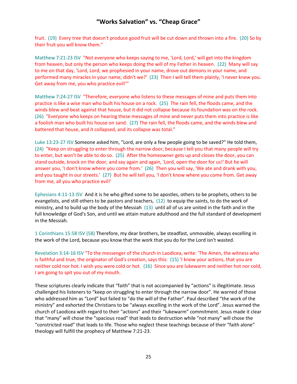fruit. (19) Every tree that doesn't produce good fruit will be cut down and thrown into a fire. (20) So by their fruit you will know them."

Matthew 7:21-23 ISV "Not everyone who keeps saying to me, 'Lord, Lord,' will get into the kingdom from heaven, but only the person who keeps doing the will of my Father in heaven. (22) Many will say to me on that day, 'Lord, Lord, we prophesied in your name, drove out demons in your name, and performed many miracles in your name, didn't we?' (23) Then I will tell them plainly, 'I never knew you. Get away from me, you who practice evil!'"

Matthew 7:24-27 ISV "Therefore, everyone who listens to these messages of mine and puts them into practice is like a wise man who built his house on a rock. (25) The rain fell, the floods came, and the winds blew and beat against that house, but it did not collapse because its foundation was on the rock. (26) "Everyone who keeps on hearing these messages of mine and never puts them into practice is like a foolish man who built his house on sand. (27) The rain fell, the floods came, and the winds blew and battered that house, and it collapsed, and its collapse was total."

Luke 13:23-27 ISV Someone asked him, "Lord, are only a few people going to be saved?" He told them, (24) "Keep on struggling to enter through the narrow door, because I tell you that many people will try to enter, but won't be able to do so. (25) After the homeowner gets up and closes the door, you can stand outside, knock on the door, and say again and again, 'Lord, open the door for us!' But he will answer you, 'I don't know where you come from.' (26) Then you will say, 'We ate and drank with you, and you taught in our streets.' (27) But he will tell you, 'I don't know where you come from. Get away from me, all you who practice evil!'

Ephesians 4:11-13 ISV And it is he who gifted some to be apostles, others to be prophets, others to be evangelists, and still others to be pastors and teachers, (12) to equip the saints, to do the work of ministry, and to build up the body of the Messiah (13) until all of us are united in the faith and in the full knowledge of God's Son, and until we attain mature adulthood and the full standard of development in the Messiah.

1 Corinthians 15:58 ISV (58) Therefore, my dear brothers, be steadfast, unmovable, always excelling in the work of the Lord, because you know that the work that you do for the Lord isn't wasted.

Revelation 3:14-16 ISV "To the messenger of the church in Laodicea, write: 'The Amen, the witness who is faithful and true, the originator of God's creation, says this: (15) 'I know your actions, that you are neither cold nor hot. I wish you were cold or hot. (16) Since you are lukewarm and neither hot nor cold, I am going to spit you out of my mouth.

These scriptures clearly indicate that "faith" that is not accompanied by "actions" is illegitimate. Jesus challenged his listeners to "keep on struggling to enter through the narrow door". He warned of those who addressed him as "Lord" but failed to "do the will of the Father". Paul described "the work of the ministry" and exhorted the Christians to be "always excelling in the work of the Lord". Jesus warned the church of Laodicea with regard to their "actions" and their "lukewarm" commitment. Jesus made it clear that "many" will chose the "spacious road" that leads to destruction while "not many" will chose the "constricted road" that leads to life. Those who neglect these teachings because of their "faith alone" theology will fulfill the prophecy of Matthew 7:21-23.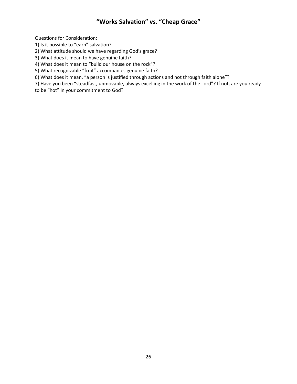Questions for Consideration:

1) Is it possible to "earn" salvation?

2) What attitude should we have regarding God's grace?

3) What does it mean to have genuine faith?

4) What does it mean to "build our house on the rock"?

5) What recognizable "fruit" accompanies genuine faith?

6) What does it mean, "a person is justified through actions and not through faith alone"?

7) Have you been "steadfast, unmovable, always excelling in the work of the Lord"? If not, are you ready

to be "hot" in your commitment to God?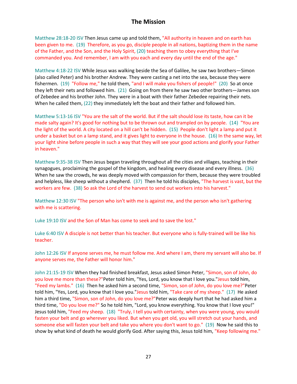#### **The Mission**

Matthew 28:18-20 ISV Then Jesus came up and told them, "All authority in heaven and on earth has been given to me. (19) Therefore, as you go, disciple people in all nations, baptizing them in the name of the Father, and the Son, and the Holy Spirit, (20) teaching them to obey everything that I've commanded you. And remember, I am with you each and every day until the end of the age."

Matthew 4:18-22 ISV While Jesus was walking beside the Sea of Galilee, he saw two brothers—Simon (also called Peter) and his brother Andrew. They were casting a net into the sea, because they were fishermen. (19) "Follow me," he told them, "and I will make you fishers of people!" (20) So at once they left their nets and followed him. (21) Going on from there he saw two other brothers—James son of Zebedee and his brother John. They were in a boat with their father Zebedee repairing their nets. When he called them, (22) they immediately left the boat and their father and followed him.

Matthew 5:13-16 ISV "You are the salt of the world. But if the salt should lose its taste, how can it be made salty again? It's good for nothing but to be thrown out and trampled on by people. (14) "You are the light of the world. A city located on a hill can't be hidden. (15) People don't light a lamp and put it under a basket but on a lamp stand, and it gives light to everyone in the house. (16) In the same way, let your light shine before people in such a way that they will see your good actions and glorify your Father in heaven."

Matthew 9:35-38 ISV Then Jesus began traveling throughout all the cities and villages, teaching in their synagogues, proclaiming the gospel of the kingdom, and healing every disease and every illness. (36) When he saw the crowds, he was deeply moved with compassion for them, because they were troubled and helpless, like sheep without a shepherd. (37) Then he told his disciples, "The harvest is vast, but the workers are few. (38) So ask the Lord of the harvest to send out workers into his harvest."

Matthew 12:30 ISV "The person who isn't with me is against me, and the person who isn't gathering with me is scattering.

Luke 19:10 ISV and the Son of Man has come to seek and to save the lost."

Luke 6:40 ISV A disciple is not better than his teacher. But everyone who is fully-trained will be like his teacher.

John 12:26 ISV If anyone serves me, he must follow me. And where I am, there my servant will also be. If anyone serves me, the Father will honor him."

John 21:15-19 ISV When they had finished breakfast, Jesus asked Simon Peter, "Simon, son of John, do you love me more than these?"Peter told him, "Yes, Lord, you know that I love you."Jesus told him, "Feed my lambs." (16) Then he asked him a second time, "Simon, son of John, do you love me?"Peter told him, "Yes, Lord, you know that I love you."Jesus told him, "Take care of my sheep." (17) He asked him a third time, "Simon, son of John, do you love me?"Peter was deeply hurt that he had asked him a third time, "Do you love me?" So he told him, "Lord, you know everything. You know that I love you!" Jesus told him, "Feed my sheep. (18) "Truly, I tell you with certainty, when you were young, you would fasten your belt and go wherever you liked. But when you get old, you will stretch out your hands, and someone else will fasten your belt and take you where you don't want to go." (19) Now he said this to show by what kind of death he would glorify God. After saying this, Jesus told him, "Keep following me."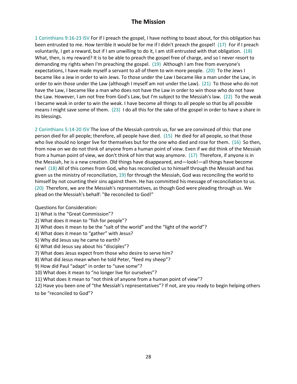## **The Mission**

1 Corinthians 9:16-23 ISV For if I preach the gospel, I have nothing to boast about, for this obligation has been entrusted to me. How terrible it would be for me if I didn't preach the gospel! (17) For if I preach voluntarily, I get a reward, but if I am unwilling to do it, I am still entrusted with that obligation. (18) What, then, is my reward? It is to be able to preach the gospel free of charge, and so I never resort to demanding my rights when I'm preaching the gospel. (19) Although I am free from everyone's expectations, I have made myself a servant to all of them to win more people. (20) To the Jews I became like a Jew in order to win Jews. To those under the Law I became like a man under the Law, in order to win those under the Law (although I myself am not under the Law). (21) To those who do not have the Law, I became like a man who does not have the Law in order to win those who do not have the Law. However, I am not free from God's Law, but I'm subject to the Messiah's law. (22) To the weak I became weak in order to win the weak. I have become all things to all people so that by all possible means I might save some of them. (23) I do all this for the sake of the gospel in order to have a share in its blessings.

2 Corinthians 5:14-20 ISV The love of the Messiah controls us, for we are convinced of this: that one person died for all people; therefore, all people have died. (15) He died for all people, so that those who live should no longer live for themselves but for the one who died and rose for them. (16) So then, from now on we do not think of anyone from a human point of view. Even if we did think of the Messiah from a human point of view, we don't think of him that way anymore. (17) Therefore, if anyone is in the Messiah, he is a new creation. Old things have disappeared, and—look!—all things have become new! (18) All of this comes from God, who has reconciled us to himself through the Messiah and has given us the ministry of reconciliation, 19) for through the Messiah, God was reconciling the world to himself by not counting their sins against them. He has committed his message of reconciliation to us. (20) Therefore, we are the Messiah's representatives, as though God were pleading through us. We plead on the Messiah's behalf: "Be reconciled to God!"

Questions for Consideration:

1) What is the "Great Commission"?

2) What does it mean to "fish for people"?

3) What does it mean to be the "salt of the world" and the "light of the world"?

4) What does it mean to "gather" with Jesus?

5) Why did Jesus say he came to earth?

6) What did Jesus say about his "disciples"?

7) What does Jesus expect from those who desire to serve him?

8) What did Jesus mean when he told Peter, "feed my sheep"?

9) How did Paul "adapt" in order to "save some"?

10) What does it mean to "no longer live for ourselves"?

11) What does it mean to "not think of anyone from a human point of view"?

12) Have you been one of "the Messiah's representatives"? If not, are you ready to begin helping others to be "reconciled to God"?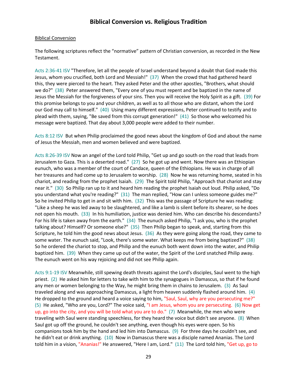#### Biblical Conversion

The following scriptures reflect the "normative" pattern of Christian conversion, as recorded in the New Testament.

Acts 2:36-41 ISV "Therefore, let all the people of Israel understand beyond a doubt that God made this Jesus, whom you crucified, both Lord and Messiah!" (37) When the crowd that had gathered heard this, they were pierced to the heart. They asked Peter and the other apostles, "Brothers, what should we do?" (38) Peter answered them, "Every one of you must repent and be baptized in the name of Jesus the Messiah for the forgiveness of your sins. Then you will receive the Holy Spirit as a gift. (39) For this promise belongs to you and your children, as well as to all those who are distant, whom the Lord our God may call to himself." (40) Using many different expressions, Peter continued to testify and to plead with them, saying, "Be saved from this corrupt generation!" (41) So those who welcomed his message were baptized. That day about 3,000 people were added to their number.

Acts 8:12 ISV But when Philip proclaimed the good news about the kingdom of God and about the name of Jesus the Messiah, men and women believed and were baptized.

Acts 8:26-39 ISV Now an angel of the Lord told Philip, "Get up and go south on the road that leads from Jerusalem to Gaza. This is a deserted road." (27) So he got up and went. Now there was an Ethiopian eunuch, who was a member of the court of Candace, queen of the Ethiopians. He was in charge of all her treasures and had come up to Jerusalem to worship. (28) Now he was returning home, seated in his chariot, and reading from the prophet Isaiah. (29) The Spirit told Philip, "Approach that chariot and stay near it." (30) So Philip ran up to it and heard him reading the prophet Isaiah out loud. Philip asked, "Do you understand what you're reading?" (31) The man replied, "How can I unless someone guides me?" So he invited Philip to get in and sit with him. (32) This was the passage of Scripture he was reading: "Like a sheep he was led away to be slaughtered, and like a lamb is silent before its shearer, so he does not open his mouth. (33) In his humiliation, justice was denied him. Who can describe his descendants? For his life is taken away from the earth." (34) The eunuch asked Philip, "I ask you, who is the prophet talking about? Himself? Or someone else?" (35) Then Philip began to speak, and, starting from this Scripture, he told him the good news about Jesus. (36) As they were going along the road, they came to some water. The eunuch said, "Look, there's some water. What keeps me from being baptized?" (38) So he ordered the chariot to stop, and Philip and the eunuch both went down into the water, and Philip baptized him. (39) When they came up out of the water, the Spirit of the Lord snatched Philip away. The eunuch went on his way rejoicing and did not see Philip again.

Acts 9:1-19 ISV Meanwhile, still spewing death threats against the Lord's disciples, Saul went to the high priest. (2) He asked him for letters to take with him to the synagogues in Damascus, so that if he found any men or women belonging to the Way, he might bring them in chains to Jerusalem. (3) As Saul traveled along and was approaching Damascus, a light from heaven suddenly flashed around him. (4) He dropped to the ground and heard a voice saying to him, "Saul, Saul, why are you persecuting me?" (5) He asked, "Who are you, Lord?" The voice said, "I am Jesus, whom you are persecuting. (6) Now get up, go into the city, and you will be told what you are to do." (7) Meanwhile, the men who were traveling with Saul were standing speechless, for they heard the voice but didn't see anyone. (8) When Saul got up off the ground, he couldn't see anything, even though his eyes were open. So his companions took him by the hand and led him into Damascus. (9) For three days he couldn't see, and he didn't eat or drink anything. (10) Now in Damascus there was a disciple named Ananias. The Lord told him in a vision, "Ananias!" He answered, "Here I am, Lord." (11) The Lord told him, "Get up, go to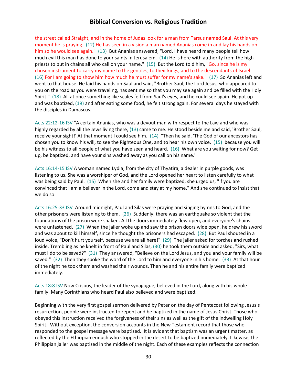the street called Straight, and in the home of Judas look for a man from Tarsus named Saul. At this very moment he is praying. (12) He has seen in a vision a man named Ananias come in and lay his hands on him so he would see again." (13) But Ananias answered, "Lord, I have heard many people tell how much evil this man has done to your saints in Jerusalem. (14) He is here with authority from the high priests to put in chains all who call on your name." (15) But the Lord told him, "Go, since he is my chosen instrument to carry my name to the gentiles, to their kings, and to the descendants of Israel. (16) For I am going to show him how much he must suffer for my name's sake." (17) So Ananias left and went to that house. He laid his hands on Saul and said, "Brother Saul, the Lord Jesus, who appeared to you on the road as you were traveling, has sent me so that you may see again and be filled with the Holy Spirit." (18) All at once something like scales fell from Saul's eyes, and he could see again. He got up and was baptized, (19) and after eating some food, he felt strong again. For several days he stayed with the disciples in Damascus.

Acts 22:12-16 ISV "A certain Ananias, who was a devout man with respect to the Law and who was highly regarded by all the Jews living there, (13) came to me. He stood beside me and said, 'Brother Saul, receive your sight!' At that moment I could see him. (14) "Then he said, 'The God of our ancestors has chosen you to know his will, to see the Righteous One, and to hear his own voice, (15) because you will be his witness to all people of what you have seen and heard. (16) What are you waiting for now? Get up, be baptized, and have your sins washed away as you call on his name.'

Acts 16:14-15 ISV A woman named Lydia, from the city of Thyatira, a dealer in purple goods, was listening to us. She was a worshiper of God, and the Lord opened her heart to listen carefully to what was being said by Paul. (15) When she and her family were baptized, she urged us, "If you are convinced that I am a believer in the Lord, come and stay at my home." And she continued to insist that we do so.

Acts 16:25-33 ISV Around midnight, Paul and Silas were praying and singing hymns to God, and the other prisoners were listening to them. (26) Suddenly, there was an earthquake so violent that the foundations of the prison were shaken. All the doors immediately flew open, and everyone's chains were unfastened. (27) When the jailer woke up and saw the prison doors wide open, he drew his sword and was about to kill himself, since he thought the prisoners had escaped. (28) But Paul shouted in a loud voice, "Don't hurt yourself, because we are all here!" (29) The jailer asked for torches and rushed inside. Trembling as he knelt in front of Paul and Silas, (30) he took them outside and asked, "Sirs, what must I do to be saved?" (31) They answered, "Believe on the Lord Jesus, and you and your family will be saved." (32) Then they spoke the word of the Lord to him and everyone in his home. (33) At that hour of the night he took them and washed their wounds. Then he and his entire family were baptized immediately.

Acts 18:8 ISV Now Crispus, the leader of the synagogue, believed in the Lord, along with his whole family. Many Corinthians who heard Paul also believed and were baptized.

Beginning with the very first gospel sermon delivered by Peter on the day of Pentecost following Jesus's resurrection, people were instructed to repent and be baptized in the name of Jesus Christ. Those who obeyed this instruction received the forgiveness of their sins as well as the gift of the indwelling Holy Spirit. Without exception, the conversion accounts in the New Testament record that those who responded to the gospel message were baptized. It is evident that baptism was an urgent matter, as reflected by the Ethiopian eunuch who stopped in the desert to be baptized immediately. Likewise, the Philippian jailer was baptized in the middle of the night. Each of these examples reflects the connection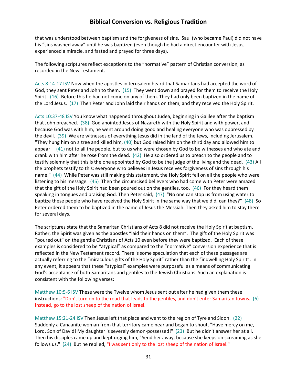that was understood between baptism and the forgiveness of sins. Saul (who became Paul) did not have his "sins washed away" until he was baptized (even though he had a direct encounter with Jesus, experienced a miracle, and fasted and prayed for three days).

The following scriptures reflect exceptions to the "normative" pattern of Christian conversion, as recorded in the New Testament.

Acts 8:14-17 ISV Now when the apostles in Jerusalem heard that Samaritans had accepted the word of God, they sent Peter and John to them. (15) They went down and prayed for them to receive the Holy Spirit. (16) Before this he had not come on any of them. They had only been baptized in the name of the Lord Jesus. (17) Then Peter and John laid their hands on them, and they received the Holy Spirit.

Acts 10:37-48 ISV You know what happened throughout Judea, beginning in Galilee after the baptism that John preached. (38) God anointed Jesus of Nazareth with the Holy Spirit and with power, and because God was with him, he went around doing good and healing everyone who was oppressed by the devil. (39) We are witnesses of everything Jesus did in the land of the Jews, including Jerusalem. "They hung him on a tree and killed him, (40) but God raised him on the third day and allowed him to appear— (41) not to all the people, but to us who were chosen by God to be witnesses and who ate and drank with him after he rose from the dead. (42) He also ordered us to preach to the people and to testify solemnly that this is the one appointed by God to be the judge of the living and the dead. (43) All the prophets testify to this: everyone who believes in Jesus receives forgiveness of sins through his name." (44) While Peter was still making this statement, the Holy Spirit fell on all the people who were listening to his message. (45) Then the circumcised believers who had come with Peter were amazed that the gift of the Holy Spirit had been poured out on the gentiles, too. (46) For they heard them speaking in tongues and praising God. Then Peter said, (47) "No one can stop us from using water to baptize these people who have received the Holy Spirit in the same way that we did, can they?" (48) So Peter ordered them to be baptized in the name of Jesus the Messiah. Then they asked him to stay there for several days.

The scriptures state that the Samaritan Christians of Acts 8 did not receive the Holy Spirit at baptism. Rather, the Spirit was given as the apostles "laid their hands on them". The gift of the Holy Spirit was "poured out" on the gentile Christians of Acts 10 even before they were baptized. Each of these examples is considered to be "atypical" as compared to the "normative" conversion experience that is reflected in the New Testament record. There is some speculation that each of these passages are actually referring to the "miraculous gifts of the Holy Spirit" rather than the "indwelling Holy Spirit". In any event, it appears that these "atypical" examples were purposeful as a means of communicating God's acceptance of both Samaritans and gentiles to the Jewish Christians. Such an explanation is consistent with the following verses:

Matthew 10:5-6 ISV These were the Twelve whom Jesus sent out after he had given them these instructions: "Don't turn on to the road that leads to the gentiles, and don't enter Samaritan towns. (6) Instead, go to the lost sheep of the nation of Israel.

Matthew 15:21-24 ISV Then Jesus left that place and went to the region of Tyre and Sidon. (22) Suddenly a Canaanite woman from that territory came near and began to shout, "Have mercy on me, Lord, Son of David! My daughter is severely demon-possessed!" (23) But he didn't answer her at all. Then his disciples came up and kept urging him, "Send her away, because she keeps on screaming as she follows us." (24) But he replied, "I was sent only to the lost sheep of the nation of Israel."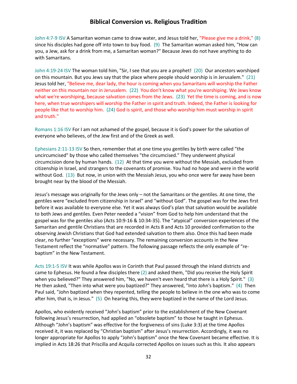John 4:7-9 ISV A Samaritan woman came to draw water, and Jesus told her, "Please give me a drink," (8) since his disciples had gone off into town to buy food. (9) The Samaritan woman asked him, "How can you, a Jew, ask for a drink from me, a Samaritan woman?" Because Jews do not have anything to do with Samaritans.

John 4:19-24 ISV The woman told him, "Sir, I see that you are a prophet! (20) Our ancestors worshiped on this mountain. But you Jews say that the place where people should worship is in Jerusalem." (21) Jesus told her, "Believe me, dear lady, the hour is coming when you Samaritans will worship the Father neither on this mountain nor in Jerusalem. (22) You don't know what you're worshiping. We Jews know what we're worshiping, because salvation comes from the Jews. (23) Yet the time is coming, and is now here, when true worshipers will worship the Father in spirit and truth. Indeed, the Father is looking for people like that to worship him. (24) God is spirit, and those who worship him must worship in spirit and truth."

Romans 1:16 ISV For I am not ashamed of the gospel, because it is God's power for the salvation of everyone who believes, of the Jew first and of the Greek as well.

Ephesians 2:11-13 ISV So then, remember that at one time you gentiles by birth were called "the uncircumcised" by those who called themselves "the circumcised." They underwent physical circumcision done by human hands. (12) At that time you were without the Messiah, excluded from citizenship in Israel, and strangers to the covenants of promise. You had no hope and were in the world without God. (13) But now, in union with the Messiah Jesus, you who once were far away have been brought near by the blood of the Messiah.

Jesus's message was originally for the Jews only – not the Samaritans or the gentiles. At one time, the gentiles were "excluded from citizenship in Israel" and "without God". The gospel was for the Jews first before it was available to everyone else. Yet it was always God's plan that salvation would be available to both Jews and gentiles. Even Peter needed a "vision" from God to help him understand that the gospel was for the gentiles also (Acts 10:9-16 & 10:34-35). The "atypical" conversion experiences of the Samaritan and gentile Christians that are recorded in Acts 8 and Acts 10 provided confirmation to the observing Jewish Christians that God had extended salvation to them also. Once this had been made clear, no further "exceptions" were necessary. The remaining conversion accounts in the New Testament reflect the "normative" pattern. The following passage reflects the only example of "rebaptism" in the New Testament.

Acts 19:1-5 ISV It was while Apollos was in Corinth that Paul passed through the inland districts and came to Ephesus. He found a few disciples there (2) and asked them, "Did you receive the Holy Spirit when you believed?" They answered him, "No, we haven't even heard that there is a Holy Spirit." (3) He then asked, "Then into what were you baptized?" They answered, "Into John's baptism." (4) Then Paul said, "John baptized when they repented, telling the people to believe in the one who was to come after him, that is, in Jesus." (5) On hearing this, they were baptized in the name of the Lord Jesus.

Apollos, who evidently received "John's baptism" prior to the establishment of the New Covenant following Jesus's resurrection, had applied an "obsolete baptism" to those he taught in Ephesus. Although "John's baptism" was effective for the forgiveness of sins (Luke 3:3) at the time Apollos received it, it was replaced by "Christian baptism" after Jesus's resurrection. Accordingly, it was no longer appropriate for Apollos to apply "John's baptism" once the New Covenant became effective. It is implied in Acts 18:26 that Priscilla and Acquila corrected Apollos on issues such as this. It also appears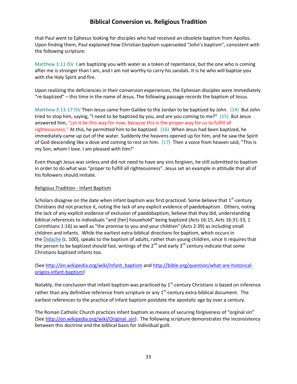that Paul went to Ephesus looking for disciples who had received an obsolete baptism from Apollos. Upon finding them, Paul explained how Christian baptism superseded "John's baptism", consistent with the following scripture:

Matthew 3:11 ISV I am baptizing you with water as a token of repentance, but the one who is coming after me is stronger than I am, and I am not worthy to carry his sandals. It is he who will baptize you with the Holy Spirit and fire.

Upon realizing the deficiencies in their conversion experiences, the Ephesian disciples were immediately "re-baptized" – this time in the name of Jesus. The following passage records the baptism of Jesus.

Matthew 3:13-17 ISV Then Jesus came from Galilee to the Jordan to be baptized by John. (14) But John tried to stop him, saying, "I need to be baptized by you, and are you coming to me?" (15) But Jesus answered him, "Let it be this way for now, because this is the proper way for us to fulfill all righteousness." At this, he permitted him to be baptized. (16) When Jesus had been baptized, he immediately came up out of the water. Suddenly the heavens opened up for him, and he saw the Spirit of God descending like a dove and coming to rest on him. (17) Then a voice from heaven said, "This is my Son, whom I love. I am pleased with him!"

Even though Jesus was sinless and did not need to have any sins forgiven, he still submitted to baptism in order to do what was "proper to fulfill all righteousness". Jesus set an example in attitude that all of his followers should imitate.

#### Religious Tradition - Infant Baptism

Scholars disagree on the date when infant baptism was first practiced. Some believe that 1<sup>st</sup>-century Christians did not practice it, noting the lack of any explicit evidence of paedobaptism. Others, noting the lack of any explicit evidence of exclusion of paedobaptism, believe that they did, understanding biblical references to individuals "and [her] household" being baptized (Acts 16:15, Acts 16:31-33, 1 Corinthians 1:16) as well as "the promise to you and your children" (Acts 2:39) as including small children and infants. While the earliest extra-biblical directions for baptism, which occurs in the [Didache](http://en.wikipedia.org/wiki/Didache) (c. 100), speaks to the baptism of adults, rather than young children, since it requires that the person to be baptized should fast, writings of the  $2^{nd}$  and early 3<sup>rd</sup> century indicate that some Christians baptized infants too.

(See [http://en.wikipedia.org/wiki/Infant\\_baptism](http://en.wikipedia.org/wiki/Infant_baptism) and [http://bible.org/question/what-are-historical](http://bible.org/question/what-are-historical-origins-infant-baptism)[origins-infant-baptism\)](http://bible.org/question/what-are-historical-origins-infant-baptism)

Notably, the conclusion that infant baptism was practiced by  $1^{st}$ -century Christians is based on inference rather than any definitive reference from scripture or any  $1<sup>st</sup>$ -century extra-biblical document. The earliest references to the practice of infant baptism postdate the apostolic age by over a century.

The Roman Catholic Church practices infant baptism as means of securing forgiveness of "orginal sin" (See [http://en.wikipedia.org/wiki/Original\\_sin\)](http://en.wikipedia.org/wiki/Original_sin). The following scripture demonstrates the inconsistency between this doctrine and the biblical basis for individual guilt.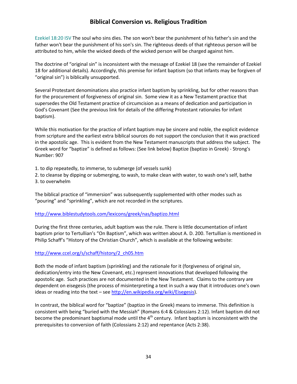Ezekiel 18:20 ISV The soul who sins dies. The son won't bear the punishment of his father's sin and the father won't bear the punishment of his son's sin. The righteous deeds of that righteous person will be attributed to him, while the wicked deeds of the wicked person will be charged against him.

The doctrine of "original sin" is inconsistent with the message of Ezekiel 18 (see the remainder of Ezekiel 18 for additional details). Accordingly, this premise for infant baptism (so that infants may be forgiven of "original sin") is biblically unsupported.

Several Protestant denominations also practice infant baptism by sprinkling, but for other reasons than for the procurement of forgiveness of original sin. Some view it as a New Testament practice that supersedes the Old Testament practice of circumcision as a means of dedication and participation in God's Covenant (See the previous link for details of the differing Protestant rationales for infant baptism).

While this motivation for the practice of infant baptism may be sincere and noble, the explicit evidence from scripture and the earliest extra biblical sources do not support the conclusion that it was practiced in the apostolic age. This is evident from the New Testament manuscripts that address the subject. The Greek word for "baptize" is defined as follows: (See link below) Baptize (baptizo in Greek) - Strong's Number: 907

1. to dip repeatedly, to immerse, to submerge (of vessels sunk)

2. to cleanse by dipping or submerging, to wash, to make clean with water, to wash one's self, bathe 3. to overwhelm

The biblical practice of "immersion" was subsequently supplemented with other modes such as "pouring" and "sprinkling", which are not recorded in the scriptures.

#### <http://www.biblestudytools.com/lexicons/greek/nas/baptizo.html>

During the first three centuries, adult baptism was the rule. There is little documentation of infant baptism prior to Tertullian's "On Baptism", which was written about A. D. 200. Tertullian is mentioned in Philip Schaff's "History of the Christian Church", which is available at the following website:

#### [http://www.ccel.org/s/schaff/history/2\\_ch05.htm](http://www.ccel.org/s/schaff/history/2_ch05.htm)

Both the mode of infant baptism (sprinkling) and the rationale for it (forgiveness of original sin, dedication/entry into the New Covenant, etc.) represent innovations that developed following the apostolic age. Such practices are not documented in the New Testament. Claims to the contrary are dependent on eisegesis (the process of misinterpreting a text in such a way that it introduces one's own ideas or reading into the text – see  $http://en.wikipedia.org/wiki/Eisegesis)$ .

In contrast, the biblical word for "baptize" (baptizo in the Greek) means to immerse. This definition is consistent with being "buried with the Messiah" (Romans 6:4 & Colossians 2:12). Infant baptism did not become the predominant baptismal mode until the  $4<sup>th</sup>$  century. Infant baptism is inconsistent with the prerequisites to conversion of faith (Colossians 2:12) and repentance (Acts 2:38).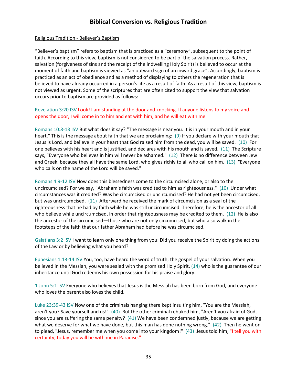#### Religious Tradition - Believer's Baptism

"Believer's baptism" refers to baptism that is practiced as a "ceremony", subsequent to the point of faith. According to this view, baptism is not considered to be part of the salvation process. Rather, salvation (forgiveness of sins and the receipt of the indwelling Holy Spirit) is believed to occur at the moment of faith and baptism is viewed as "an outward sign of an inward grace". Accordingly, baptism is practiced as an act of obedience and as a method of displaying to others the regeneration that is believed to have already occurred in a person's life as a result of faith. As a result of this view, baptism is not viewed as urgent. Some of the scriptures that are often cited to support the view that salvation occurs prior to baptism are provided as follows:

#### Revelation 3:20 ISV Look! I am standing at the door and knocking. If anyone listens to my voice and opens the door, I will come in to him and eat with him, and he will eat with me.

Romans 10:8-13 ISV But what does it say? "The message is near you. It is in your mouth and in your heart." This is the message about faith that we are proclaiming: (9) If you declare with your mouth that Jesus is Lord, and believe in your heart that God raised him from the dead, you will be saved. (10) For one believes with his heart and is justified, and declares with his mouth and is saved. (11) The Scripture says, "Everyone who believes in him will never be ashamed." (12) There is no difference between Jew and Greek, because they all have the same Lord, who gives richly to all who call on him. (13) "Everyone who calls on the name of the Lord will be saved."

Romans 4:9-12 ISV Now does this blessedness come to the circumcised alone, or also to the uncircumcised? For we say, "Abraham's faith was credited to him as righteousness." (10) Under what circumstances was it credited? Was he circumcised or uncircumcised? He had not yet been circumcised, but was uncircumcised. (11) Afterward he received the mark of circumcision as a seal of the righteousness that he had by faith while he was still uncircumcised. Therefore, he is the ancestor of all who believe while uncircumcised, in order that righteousness may be credited to them. (12) He is also the ancestor of the circumcised—those who are not only circumcised, but who also walk in the footsteps of the faith that our father Abraham had before he was circumcised.

Galatians 3:2 ISV I want to learn only one thing from you: Did you receive the Spirit by doing the actions of the Law or by believing what you heard?

Ephesians 1:13-14 ISV You, too, have heard the word of truth, the gospel of your salvation. When you believed in the Messiah, you were sealed with the promised Holy Spirit, (14) who is the guarantee of our inheritance until God redeems his own possession for his praise and glory.

1 John 5:1 ISV Everyone who believes that Jesus is the Messiah has been born from God, and everyone who loves the parent also loves the child.

Luke 23:39-43 ISV Now one of the criminals hanging there kept insulting him, "You are the Messiah, aren't you? Save yourself and us!" (40) But the other criminal rebuked him, "Aren't you afraid of God, since you are suffering the same penalty?  $(41)$  We have been condemned justly, because we are getting what we deserve for what we have done, but this man has done nothing wrong." (42) Then he went on to plead, "Jesus, remember me when you come into your kingdom!" (43) Jesus told him, "I tell you with certainty, today you will be with me in Paradise."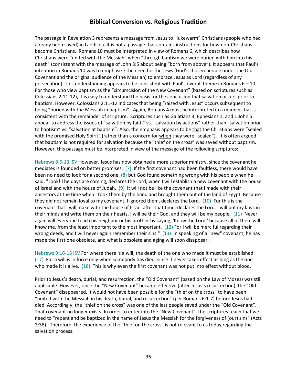The passage in Revelation 3 represents a message from Jesus to "lukewarm" Christians (people who had already been saved) in Laodicea. It is not a passage that contains instructions for how non-Christians become Christians. Romans 10 must be interpreted in view of Romans 6, which describes how Christians were "united with the Messiah" when "through baptism we were buried with him into his death" (consistent with the message of John 3:5 about being "born from above"). It appears that Paul's intention in Romans 10 was to emphasize the need for the Jews (God's chosen people under the Old Covenant and the original audience of the Messiah) to embrace Jesus as Lord (regardless of any persecution). This understanding appears to be consistent with Paul's overall theme in Romans 6 – 10. For those who view baptism as the "circumcision of the New Covenant" (based on scriptures such as Colossians 2:11-12), it is easy to understand the basis for the conclusion that salvation occurs prior to baptism. However, Colossians 2:11-12 indicates that being "raised with Jesus" occurs subsequent to being "buried with the Messiah in baptism". Again, Romans 4 must be interpreted in a manner that is consistent with the remainder of scripture. Scriptures such as Galatians 3, Ephesians 1, and 1 John 5 appear to address the issues of "salvation by faith" vs. "salvation by actions" rather than "salvation prior to baptism" vs. "salvation at baptism". Also, the emphasis appears to be that the Christians were "sealed with the promised Holy Spirit" (rather than a concern for when they were "sealed"). It is often argued that baptism is not required for salvation because the "thief on the cross" was saved without baptism. However, this passage must be interpreted in view of the message of the following scriptures:

Hebrews 8:6-13 ISV However, Jesus has now obtained a more superior ministry, since the covenant he mediates is founded on better promises. (7) If the first covenant had been faultless, there would have been no need to look for a second one, (8) but God found something wrong with his people when he said, "Look! The days are coming, declares the Lord, when I will establish a new covenant with the house of Israel and with the house of Judah. (9) It will not be like the covenant that I made with their ancestors at the time when I took them by the hand and brought them out of the land of Egypt. Because they did not remain loyal to my covenant, I ignored them, declares the Lord. (10) For this is the covenant that I will make with the house of Israel after that time, declares the Lord: I will put my laws in their minds and write them on their hearts. I will be their God, and they will be my people. (11) Never again will everyone teach his neighbor or his brother by saying, 'Know the Lord,' because all of them will know me, from the least important to the most important. (12) For I will be merciful regarding their wrong deeds, and I will never again remember their sins." (13) In speaking of a "new" covenant, he has made the first one obsolete, and what is obsolete and aging will soon disappear.

Hebrews 9:16-18 ISV For where there is a will, the death of the one who made it must be established. (17) For a will is in force only when somebody has died, since it never takes effect as long as the one who made it is alive. (18) This is why even the first covenant was not put into effect without blood.

Prior to Jesus's death, burial, and resurrection, the "Old Covenant" (based on the Law of Moses) was still applicable. However, once the "New Covenant" became effective (after Jesus's resurrection), the "Old Covenant" disappeared. It would not have been possible for the "thief on the cross" to have been "united with the Messiah in his death, burial, and resurrection" (per Romans 6:1-7) before Jesus had died. Accordingly, the "thief on the cross" was one of the last people saved under the "Old Covenant". That covenant no longer exists. In order to enter into the "New Covenant", the scriptures teach that we need to "repent and be baptized in the name of Jesus the Messiah for the forgiveness of (our) sins" (Acts 2:38). Therefore, the experience of the "thief on the cross" is not relevant to us today regarding the salvation process.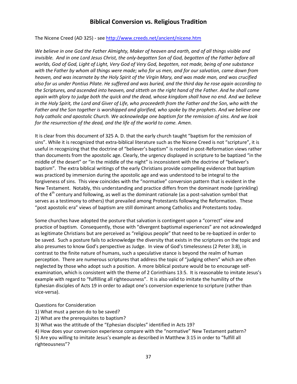The Nicene Creed (AD 325) - se[e http://www.creeds.net/ancient/nicene.htm](http://www.creeds.net/ancient/nicene.htm)

*We believe in one God the Father Almighty, Maker of heaven and earth, and of all things visible and invisible. And in one Lord Jesus Christ, the only-begotten Son of God, begotten of the Father before all worlds, God of God, Light of Light, Very God of Very God, begotten, not made, being of one substance with the Father by whom all things were made; who for us men, and for our salvation, came down from heaven, and was incarnate by the Holy Spirit of the Virgin Mary, and was made man, and was crucified also for us under Pontius Pilate. He suffered and was buried, and the third day he rose again according to the Scriptures, and ascended into heaven, and sitteth on the right hand of the Father. And he shall come again with glory to judge both the quick and the dead, whose kingdom shall have no end. And we believe in the Holy Spirit, the Lord and Giver of Life, who proceedeth from the Father and the Son, who with the Father and the Son together is worshipped and glorified, who spoke by the prophets. And we believe one holy catholic and apostolic Church. We acknowledge one baptism for the remission of sins. And we look for the resurrection of the dead, and the life of the world to come. Amen.*

It is clear from this document of 325 A. D. that the early church taught "baptism for the remission of sins". While it is recognized that extra-biblical literature such as the Nicene Creed is not "scripture", it is useful in recognizing that the doctrine of "believer's baptism" is rooted in post-Reformation views rather than documents from the apostolic age. Clearly, the urgency displayed in scripture to be baptized "in the middle of the desert" or "in the middle of the night" is inconsistent with the doctrine of "believer's baptism". The extra biblical writings of the early Christians provide compelling evidence that baptism was practiced by immersion during the apostolic age and was understood to be integral to the forgiveness of sins. This view coincides with the "normative" conversion pattern that is evident in the New Testament. Notably, this understanding and practice differs from the dominant mode (sprinkling) of the  $4<sup>th</sup>$  century and following, as well as the dominant rationale (as a post-salvation symbol that serves as a testimony to others) that prevailed among Protestants following the Reformation. These "post apostolic era" views of baptism are still dominant among Catholics and Protestants today.

Some churches have adopted the posture that salvation is contingent upon a "correct" view and practice of baptism. Consequently, those with "divergent baptismal experiences" are not acknowledged as legitimate Christians but are perceived as "religious people" that need to be re-baptized in order to be saved. Such a posture fails to acknowledge the diversity that exists in the scriptures on the topic and also presumes to know God's perspective as Judge. In view of God's timelessness (2 Peter 3:8), in contrast to the finite nature of humans, such a speculative stance is beyond the realm of human perception. There are numerous scriptures that address the topic of "judging others" which are often neglected by those who adopt such a position. A more biblical posture would be to encourage selfexamination, which is consistent with the theme of 2 Corinthians 13:5. It is reasonable to imitate Jesus's example with regard to "fulfilling all righteousness". It is also valid to imitate the humility of the Ephesian disciples of Acts 19 in order to adapt one's conversion experience to scripture (rather than vice-versa).

Questions for Consideration

1) What must a person do to be saved?

2) What are the prerequisites to baptism?

3) What was the attitude of the "Ephesian disciples" identified in Acts 19?

4) How does your conversion experience compare with the "normative" New Testament pattern?

5) Are you willing to imitate Jesus's example as described in Matthew 3:15 in order to "fulfill all righteousness"?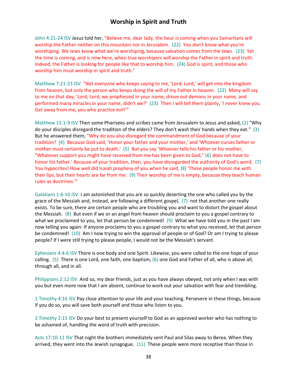### **Worship in Spirit and Truth**

John 4:21-24 ISV Jesus told her, "Believe me, dear lady, the hour is coming when you Samaritans will worship the Father neither on this mountain nor in Jerusalem. (22) You don't know what you're worshiping. We Jews know what we're worshiping, because salvation comes from the Jews. (23) Yet the time is coming, and is now here, when true worshipers will worship the Father in spirit and truth. Indeed, the Father is looking for people like that to worship him. (24) God is spirit, and those who worship him must worship in spirit and truth."

Matthew 7:21-23 ISV "Not everyone who keeps saying to me, 'Lord, Lord,' will get into the kingdom from heaven, but only the person who keeps doing the will of my Father in heaven. (22) Many will say to me on that day, 'Lord, Lord, we prophesied in your name, drove out demons in your name, and performed many miracles in your name, didn't we?' (23) Then I will tell them plainly, 'I never knew you. Get away from me, you who practice evil!'"

Matthew 15:1-9 ISV Then some Pharisees and scribes came from Jerusalem to Jesus and asked, (2) "Why do your disciples disregard the tradition of the elders? They don't wash their hands when they eat." (3) But he answered them, "Why do you also disregard the commandment of God because of your tradition? (4) Because God said, 'Honor your father and your mother,' and 'Whoever curses father or mother must certainly be put to death.' (5) But you say 'Whoever tells his father or his mother, "Whatever support you might have received from me has been given to God," (6) does not have to honor his father.' Because of your tradition, then, you have disregarded the authority of God's word. (7) You hypocrites! How well did Isaiah prophesy of you when he said, (8) 'These people honor me with their lips, but their hearts are far from me. (9) Their worship of me is empty, because they teach human rules as doctrines.'"

Galatians 1:6-10 ISV I am astonished that you are so quickly deserting the one who called you by the grace of the Messiah and, instead, are following a different gospel, (7) not that another one really exists. To be sure, there are certain people who are troubling you and want to distort the gospel about the Messiah. (8) But even if we or an angel from heaven should proclaim to you a gospel contrary to what we proclaimed to you, let that person be condemned! (9) What we have told you in the past I am now telling you again: If anyone proclaims to you a gospel contrary to what you received, let that person be condemned! (10) Am I now trying to win the approval of people or of God? Or am I trying to please people? If I were still trying to please people, I would not be the Messiah's servant.

Ephesians 4:4-6 ISV There is one body and one Spirit. Likewise, you were called to the one hope of your calling. (5) There is one Lord, one faith, one baptism, (6) one God and Father of all, who is above all, through all, and in all.

Philippians 2:12 ISV And so, my dear friends, just as you have always obeyed, not only when I was with you but even more now that I am absent, continue to work out your salvation with fear and trembling.

1 Timothy 4:16 ISV Pay close attention to your life and your teaching. Persevere in these things, because if you do so, you will save both yourself and those who listen to you.

2 Timothy 2:15 ISV Do your best to present yourself to God as an approved worker who has nothing to be ashamed of, handling the word of truth with precision.

Acts 17:10-11 ISV That night the brothers immediately sent Paul and Silas away to Berea. When they arrived, they went into the Jewish synagogue. (11) These people were more receptive than those in